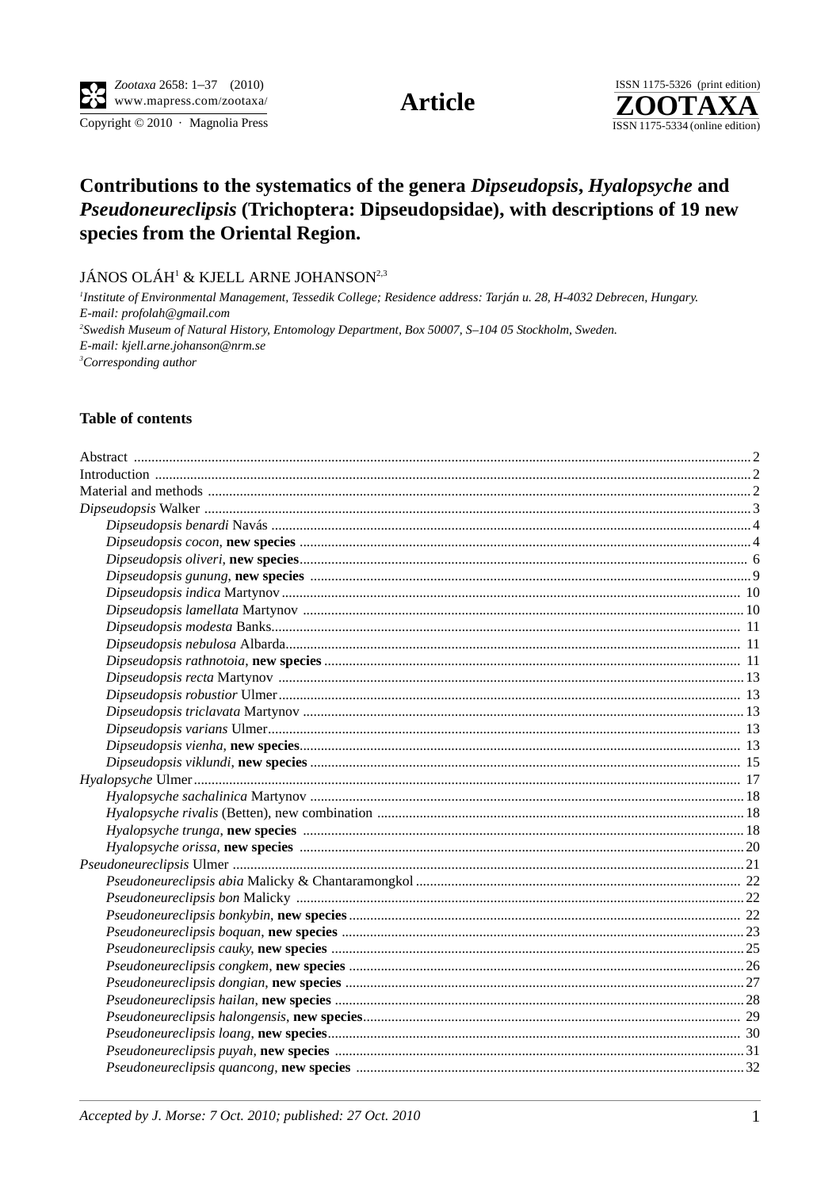Copyright © 2010 · Magnolia Press

**Article** 



# Contributions to the systematics of the genera Dipseudopsis, Hyalopsyche and Pseudoneureclipsis (Trichoptera: Dipseudopsidae), with descriptions of 19 new species from the Oriental Region.

JÁNOS OLÁH<sup>1</sup> & KJELL ARNE JOHANSON<sup>2,3</sup>

<sup>1</sup>Institute of Environmental Management, Tessedik College; Residence address: Tarján u. 28, H-4032 Debrecen, Hungary. E-mail: profolah@gmail.com <sup>2</sup>Swedish Museum of Natural History, Entomology Department, Box 50007, S-104 05 Stockholm, Sweden. E-mail: kjell.arne.johanson@nrm.se <sup>3</sup>Corresponding author

#### **Table of contents**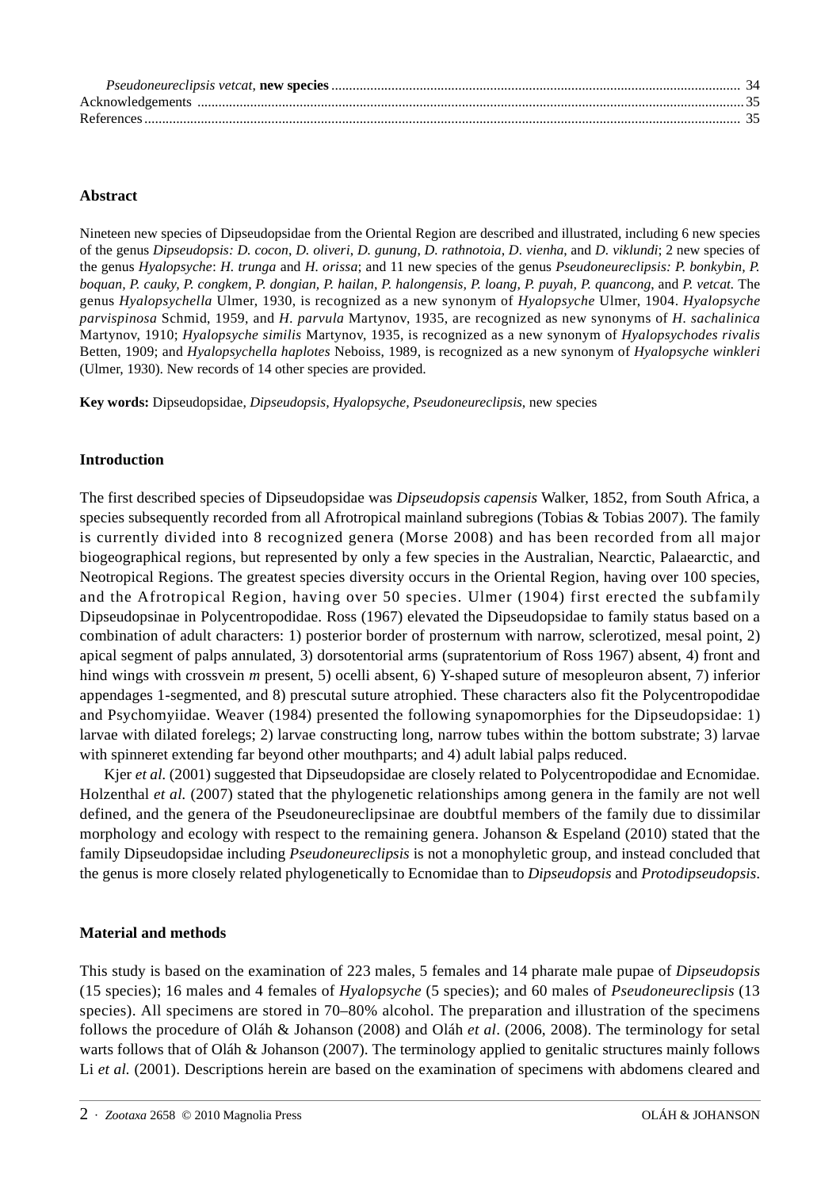#### **Abstract**

Nineteen new species of Dipseudopsidae from the Oriental Region are described and illustrated, including 6 new species of the genus *Dipseudopsis: D. cocon*, *D. oliveri*, *D. gunung*, *D. rathnotoia*, *D. vienha*, and *D. viklundi*; 2 new species of the genus *Hyalopsyche*: *H. trunga* and *H. orissa*; and 11 new species of the genus *Pseudoneureclipsis: P. bonkybin, P. boquan, P. cauky, P. congkem, P. dongian, P. hailan, P. halongensis, P. loang, P. puyah, P. quancong*, and *P. vetcat.* The genus *Hyalopsychella* Ulmer, 1930, is recognized as a new synonym of *Hyalopsyche* Ulmer, 1904. *Hyalopsyche parvispinosa* Schmid, 1959, and *H. parvula* Martynov, 1935, are recognized as new synonyms of *H. sachalinica* Martynov, 1910; *Hyalopsyche similis* Martynov, 1935, is recognized as a new synonym of *Hyalopsychodes rivalis* Betten, 1909; and *Hyalopsychella haplotes* Neboiss, 1989, is recognized as a new synonym of *Hyalopsyche winkleri* (Ulmer, 1930). New records of 14 other species are provided.

**Key words:** Dipseudopsidae, *Dipseudopsis, Hyalopsyche, Pseudoneureclipsis*, new species

## **Introduction**

The first described species of Dipseudopsidae was *Dipseudopsis capensis* Walker, 1852, from South Africa, a species subsequently recorded from all Afrotropical mainland subregions (Tobias & Tobias 2007). The family is currently divided into 8 recognized genera (Morse 2008) and has been recorded from all major biogeographical regions, but represented by only a few species in the Australian, Nearctic, Palaearctic, and Neotropical Regions. The greatest species diversity occurs in the Oriental Region, having over 100 species, and the Afrotropical Region, having over 50 species. Ulmer (1904) first erected the subfamily Dipseudopsinae in Polycentropodidae. Ross (1967) elevated the Dipseudopsidae to family status based on a combination of adult characters: 1) posterior border of prosternum with narrow, sclerotized, mesal point, 2) apical segment of palps annulated, 3) dorsotentorial arms (supratentorium of Ross 1967) absent, 4) front and hind wings with crossvein *m* present, 5) ocelli absent, 6) Y-shaped suture of mesopleuron absent, 7) inferior appendages 1-segmented, and 8) prescutal suture atrophied. These characters also fit the Polycentropodidae and Psychomyiidae. Weaver (1984) presented the following synapomorphies for the Dipseudopsidae: 1) larvae with dilated forelegs; 2) larvae constructing long, narrow tubes within the bottom substrate; 3) larvae with spinneret extending far beyond other mouthparts; and 4) adult labial palps reduced.

Kjer *et al.* (2001) suggested that Dipseudopsidae are closely related to Polycentropodidae and Ecnomidae. Holzenthal *et al.* (2007) stated that the phylogenetic relationships among genera in the family are not well defined, and the genera of the Pseudoneureclipsinae are doubtful members of the family due to dissimilar morphology and ecology with respect to the remaining genera. Johanson & Espeland (2010) stated that the family Dipseudopsidae including *Pseudoneureclipsis* is not a monophyletic group, and instead concluded that the genus is more closely related phylogenetically to Ecnomidae than to *Dipseudopsis* and *Protodipseudopsis*.

#### **Material and methods**

This study is based on the examination of 223 males, 5 females and 14 pharate male pupae of *Dipseudopsis* (15 species); 16 males and 4 females of *Hyalopsyche* (5 species); and 60 males of *Pseudoneureclipsis* (13 species). All specimens are stored in 70–80% alcohol. The preparation and illustration of the specimens follows the procedure of Oláh & Johanson (2008) and Oláh *et al*. (2006, 2008). The terminology for setal warts follows that of Oláh & Johanson (2007). The terminology applied to genitalic structures mainly follows Li et al. (2001). Descriptions herein are based on the examination of specimens with abdomens cleared and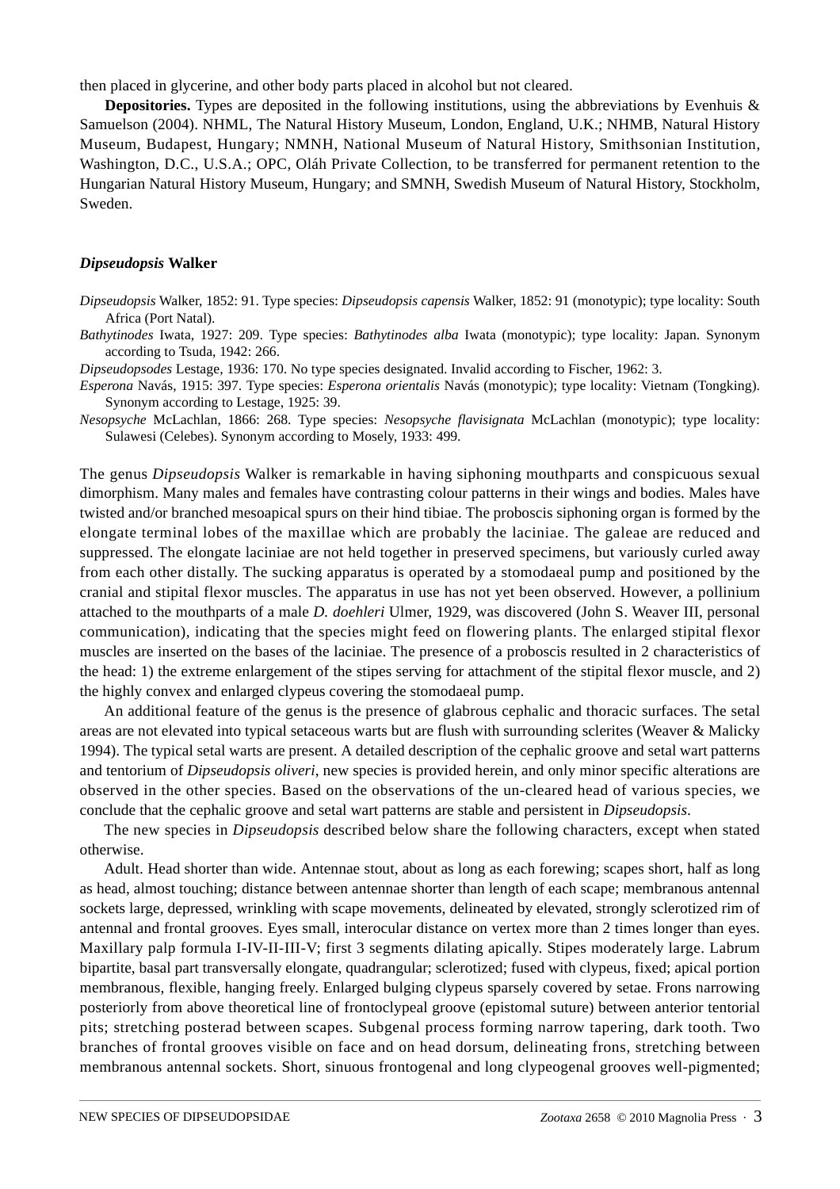then placed in glycerine, and other body parts placed in alcohol but not cleared.

**Depositories.** Types are deposited in the following institutions, using the abbreviations by Evenhuis & Samuelson (2004). NHML, The Natural History Museum, London, England, U.K.; NHMB, Natural History Museum, Budapest, Hungary; NMNH, National Museum of Natural History, Smithsonian Institution, Washington, D.C., U.S.A.; OPC, Oláh Private Collection, to be transferred for permanent retention to the Hungarian Natural History Museum, Hungary; and SMNH, Swedish Museum of Natural History, Stockholm, Sweden.

#### *Dipseudopsis* **Walker**

- *Dipseudopsis* Walker, 1852: 91. Type species: *Dipseudopsis capensis* Walker, 1852: 91 (monotypic); type locality: South Africa (Port Natal).
- *Bathytinodes* Iwata, 1927: 209. Type species: *Bathytinodes alba* Iwata (monotypic); type locality: Japan. Synonym according to Tsuda, 1942: 266.

*Dipseudopsodes* Lestage, 1936: 170. No type species designated. Invalid according to Fischer, 1962: 3.

*Esperona* Navás, 1915: 397. Type species: *Esperona orientalis* Navás (monotypic); type locality: Vietnam (Tongking). Synonym according to Lestage, 1925: 39.

*Nesopsyche* McLachlan, 1866: 268. Type species: *Nesopsyche flavisignata* McLachlan (monotypic); type locality: Sulawesi (Celebes). Synonym according to Mosely, 1933: 499.

The genus *Dipseudopsis* Walker is remarkable in having siphoning mouthparts and conspicuous sexual dimorphism. Many males and females have contrasting colour patterns in their wings and bodies. Males have twisted and/or branched mesoapical spurs on their hind tibiae. The proboscis siphoning organ is formed by the elongate terminal lobes of the maxillae which are probably the laciniae. The galeae are reduced and suppressed. The elongate laciniae are not held together in preserved specimens, but variously curled away from each other distally. The sucking apparatus is operated by a stomodaeal pump and positioned by the cranial and stipital flexor muscles. The apparatus in use has not yet been observed. However, a pollinium attached to the mouthparts of a male *D. doehleri* Ulmer, 1929, was discovered (John S. Weaver III, personal communication), indicating that the species might feed on flowering plants. The enlarged stipital flexor muscles are inserted on the bases of the laciniae. The presence of a proboscis resulted in 2 characteristics of the head: 1) the extreme enlargement of the stipes serving for attachment of the stipital flexor muscle, and 2) the highly convex and enlarged clypeus covering the stomodaeal pump.

An additional feature of the genus is the presence of glabrous cephalic and thoracic surfaces. The setal areas are not elevated into typical setaceous warts but are flush with surrounding sclerites (Weaver & Malicky 1994). The typical setal warts are present. A detailed description of the cephalic groove and setal wart patterns and tentorium of *Dipseudopsis oliveri*, new species is provided herein, and only minor specific alterations are observed in the other species. Based on the observations of the un-cleared head of various species, we conclude that the cephalic groove and setal wart patterns are stable and persistent in *Dipseudopsis*.

The new species in *Dipseudopsis* described below share the following characters, except when stated otherwise.

Adult. Head shorter than wide. Antennae stout, about as long as each forewing; scapes short, half as long as head, almost touching; distance between antennae shorter than length of each scape; membranous antennal sockets large, depressed, wrinkling with scape movements, delineated by elevated, strongly sclerotized rim of antennal and frontal grooves. Eyes small, interocular distance on vertex more than 2 times longer than eyes. Maxillary palp formula I-IV-II-III-V; first 3 segments dilating apically. Stipes moderately large. Labrum bipartite, basal part transversally elongate, quadrangular; sclerotized; fused with clypeus, fixed; apical portion membranous, flexible, hanging freely. Enlarged bulging clypeus sparsely covered by setae. Frons narrowing posteriorly from above theoretical line of frontoclypeal groove (epistomal suture) between anterior tentorial pits; stretching posterad between scapes. Subgenal process forming narrow tapering, dark tooth. Two branches of frontal grooves visible on face and on head dorsum, delineating frons, stretching between membranous antennal sockets. Short, sinuous frontogenal and long clypeogenal grooves well-pigmented;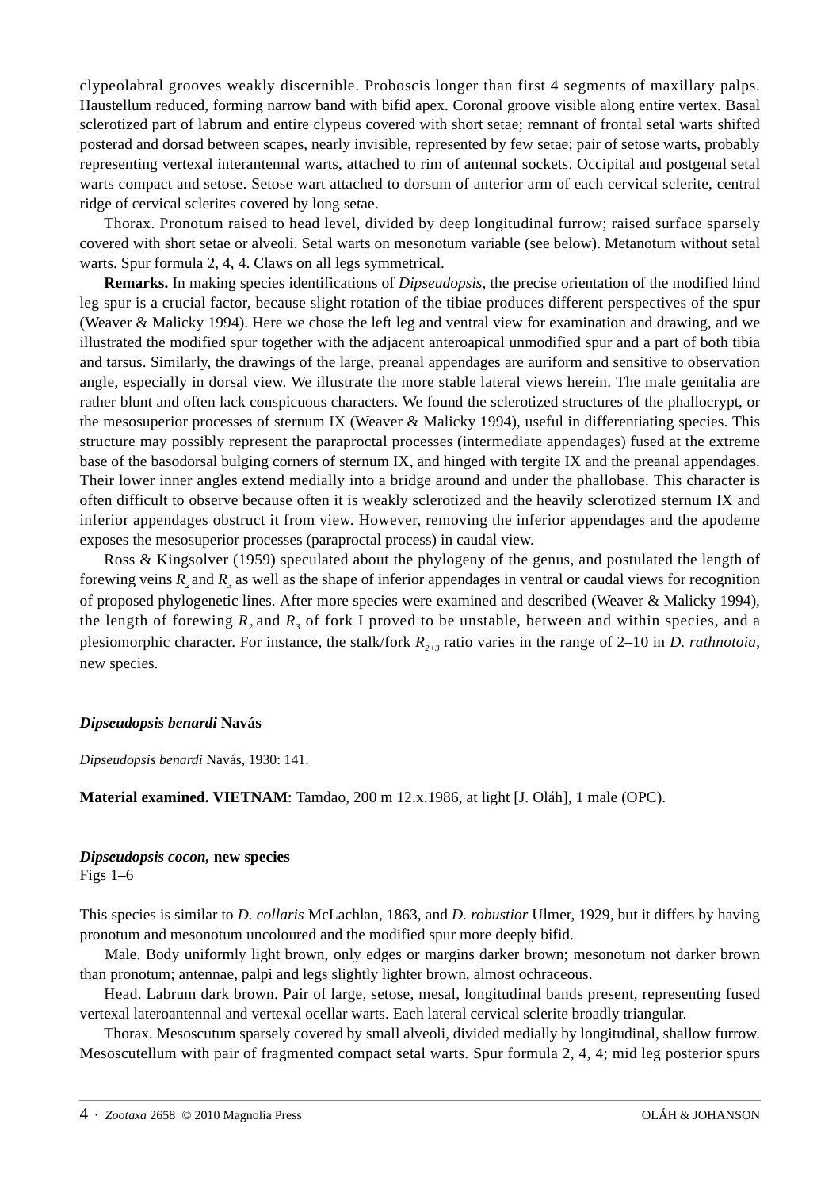clypeolabral grooves weakly discernible. Proboscis longer than first 4 segments of maxillary palps. Haustellum reduced, forming narrow band with bifid apex. Coronal groove visible along entire vertex. Basal sclerotized part of labrum and entire clypeus covered with short setae; remnant of frontal setal warts shifted posterad and dorsad between scapes, nearly invisible, represented by few setae; pair of setose warts, probably representing vertexal interantennal warts, attached to rim of antennal sockets. Occipital and postgenal setal warts compact and setose. Setose wart attached to dorsum of anterior arm of each cervical sclerite, central ridge of cervical sclerites covered by long setae.

Thorax. Pronotum raised to head level, divided by deep longitudinal furrow; raised surface sparsely covered with short setae or alveoli. Setal warts on mesonotum variable (see below). Metanotum without setal warts. Spur formula 2, 4, 4. Claws on all legs symmetrical.

**Remarks.** In making species identifications of *Dipseudopsis*, the precise orientation of the modified hind leg spur is a crucial factor, because slight rotation of the tibiae produces different perspectives of the spur (Weaver & Malicky 1994). Here we chose the left leg and ventral view for examination and drawing, and we illustrated the modified spur together with the adjacent anteroapical unmodified spur and a part of both tibia and tarsus. Similarly, the drawings of the large, preanal appendages are auriform and sensitive to observation angle, especially in dorsal view. We illustrate the more stable lateral views herein. The male genitalia are rather blunt and often lack conspicuous characters. We found the sclerotized structures of the phallocrypt, or the mesosuperior processes of sternum IX (Weaver & Malicky 1994), useful in differentiating species. This structure may possibly represent the paraproctal processes (intermediate appendages) fused at the extreme base of the basodorsal bulging corners of sternum IX, and hinged with tergite IX and the preanal appendages. Their lower inner angles extend medially into a bridge around and under the phallobase. This character is often difficult to observe because often it is weakly sclerotized and the heavily sclerotized sternum IX and inferior appendages obstruct it from view. However, removing the inferior appendages and the apodeme exposes the mesosuperior processes (paraproctal process) in caudal view.

Ross & Kingsolver (1959) speculated about the phylogeny of the genus, and postulated the length of forewing veins *R<sub>3</sub>* and *R<sub>3</sub>* as well as the shape of inferior appendages in ventral or caudal views for recognition of proposed phylogenetic lines. After more species were examined and described (Weaver & Malicky 1994), the length of forewing  $R_2$  and  $R_3$  of fork I proved to be unstable, between and within species, and a plesiomorphic character. For instance, the stalk/fork  $R_{2+3}$  ratio varies in the range of 2–10 in *D. rathnotoia*, new species.

#### *Dipseudopsis benardi* **Navás**

*Dipseudopsis benardi* Navás, 1930: 141.

**Material examined. VIETNAM**: Tamdao, 200 m 12.x.1986, at light [J. Oláh], 1 male (OPC).

#### *Dipseudopsis cocon,* **new species**

Figs 1–6

This species is similar to *D. collaris* McLachlan, 1863, and *D. robustior* Ulmer, 1929, but it differs by having pronotum and mesonotum uncoloured and the modified spur more deeply bifid.

Male. Body uniformly light brown, only edges or margins darker brown; mesonotum not darker brown than pronotum; antennae, palpi and legs slightly lighter brown, almost ochraceous.

Head. Labrum dark brown. Pair of large, setose, mesal, longitudinal bands present, representing fused vertexal lateroantennal and vertexal ocellar warts. Each lateral cervical sclerite broadly triangular.

Thorax. Mesoscutum sparsely covered by small alveoli, divided medially by longitudinal, shallow furrow. Mesoscutellum with pair of fragmented compact setal warts. Spur formula 2, 4, 4; mid leg posterior spurs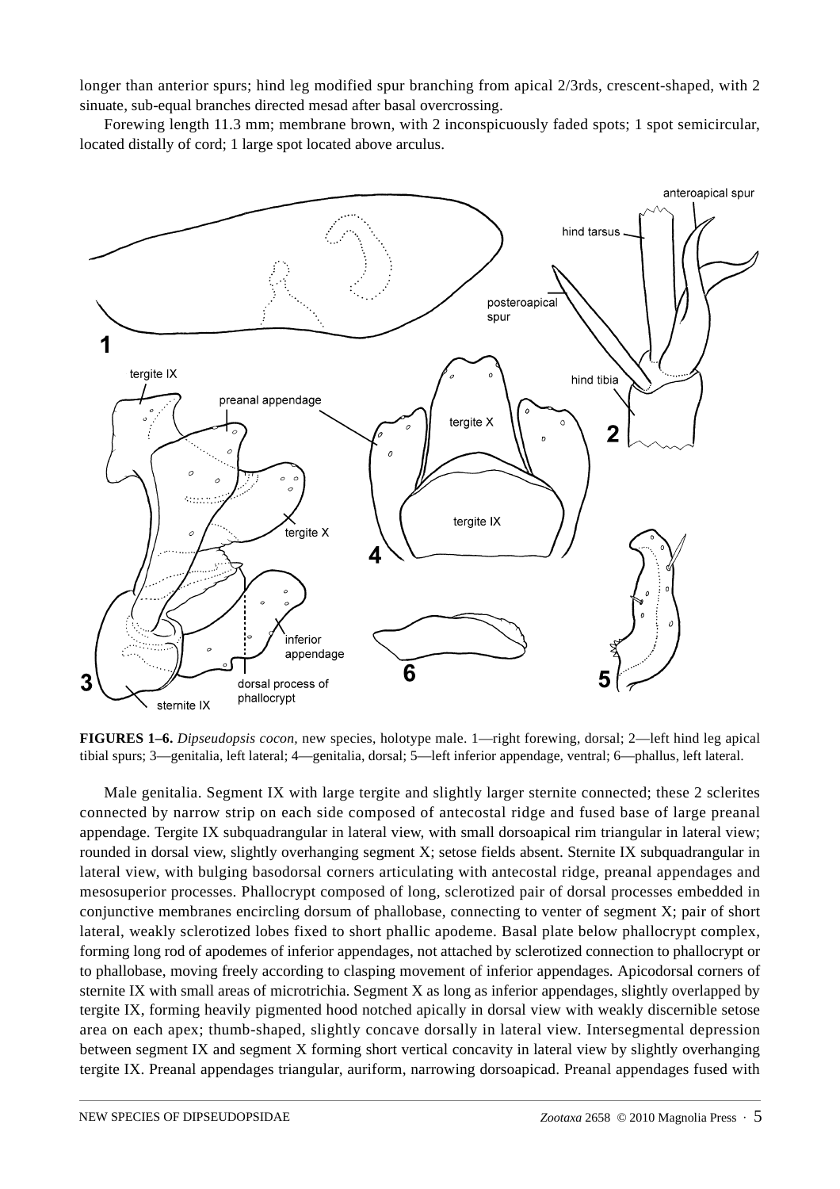longer than anterior spurs; hind leg modified spur branching from apical 2/3rds, crescent-shaped, with 2 sinuate, sub-equal branches directed mesad after basal overcrossing.

Forewing length 11.3 mm; membrane brown, with 2 inconspicuously faded spots; 1 spot semicircular, located distally of cord; 1 large spot located above arculus.



**FIGURES 1–6.** *Dipseudopsis cocon,* new species, holotype male. 1—right forewing, dorsal; 2—left hind leg apical tibial spurs; 3—genitalia, left lateral; 4—genitalia, dorsal; 5—left inferior appendage, ventral; 6—phallus, left lateral.

Male genitalia. Segment IX with large tergite and slightly larger sternite connected; these 2 sclerites connected by narrow strip on each side composed of antecostal ridge and fused base of large preanal appendage. Tergite IX subquadrangular in lateral view, with small dorsoapical rim triangular in lateral view; rounded in dorsal view, slightly overhanging segment X; setose fields absent. Sternite IX subquadrangular in lateral view, with bulging basodorsal corners articulating with antecostal ridge, preanal appendages and mesosuperior processes. Phallocrypt composed of long, sclerotized pair of dorsal processes embedded in conjunctive membranes encircling dorsum of phallobase, connecting to venter of segment X; pair of short lateral, weakly sclerotized lobes fixed to short phallic apodeme. Basal plate below phallocrypt complex, forming long rod of apodemes of inferior appendages, not attached by sclerotized connection to phallocrypt or to phallobase, moving freely according to clasping movement of inferior appendages. Apicodorsal corners of sternite IX with small areas of microtrichia. Segment X as long as inferior appendages, slightly overlapped by tergite IX, forming heavily pigmented hood notched apically in dorsal view with weakly discernible setose area on each apex; thumb-shaped, slightly concave dorsally in lateral view. Intersegmental depression between segment IX and segment X forming short vertical concavity in lateral view by slightly overhanging tergite IX. Preanal appendages triangular, auriform, narrowing dorsoapicad. Preanal appendages fused with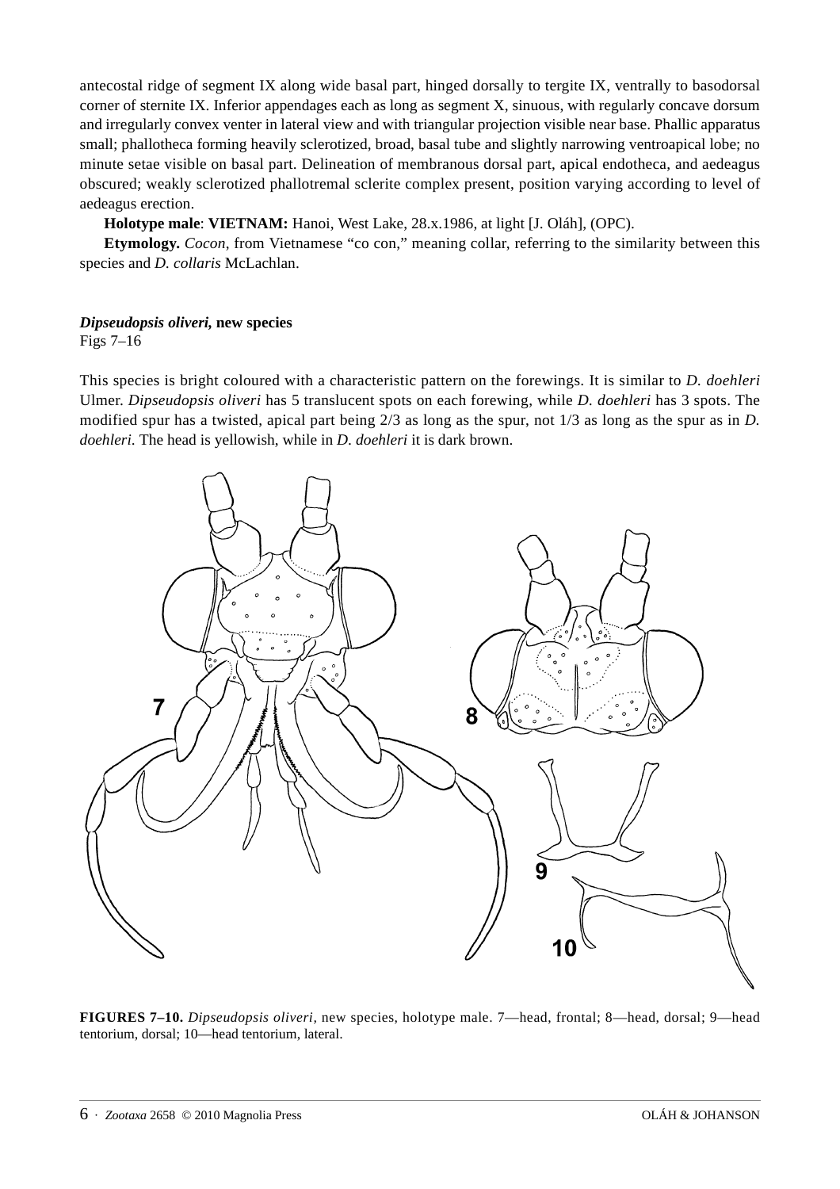antecostal ridge of segment IX along wide basal part, hinged dorsally to tergite IX, ventrally to basodorsal corner of sternite IX. Inferior appendages each as long as segment X, sinuous, with regularly concave dorsum and irregularly convex venter in lateral view and with triangular projection visible near base. Phallic apparatus small; phallotheca forming heavily sclerotized, broad, basal tube and slightly narrowing ventroapical lobe; no minute setae visible on basal part. Delineation of membranous dorsal part, apical endotheca, and aedeagus obscured; weakly sclerotized phallotremal sclerite complex present, position varying according to level of aedeagus erection.

**Holotype male**: **VIETNAM:** Hanoi, West Lake, 28.x.1986, at light [J. Oláh], (OPC).

**Etymology.** *Cocon*, from Vietnamese "co con," meaning collar, referring to the similarity between this species and *D. collaris* McLachlan.

## *Dipseudopsis oliveri,* **new species**

Figs 7–16

This species is bright coloured with a characteristic pattern on the forewings. It is similar to *D. doehleri* Ulmer. *Dipseudopsis oliveri* has 5 translucent spots on each forewing, while *D. doehleri* has 3 spots. The modified spur has a twisted, apical part being 2/3 as long as the spur, not 1/3 as long as the spur as in *D. doehleri*. The head is yellowish, while in *D. doehleri* it is dark brown.



**FIGURES 7–10.** *Dipseudopsis oliveri,* new species, holotype male. 7—head, frontal; 8—head, dorsal; 9—head tentorium, dorsal; 10—head tentorium, lateral.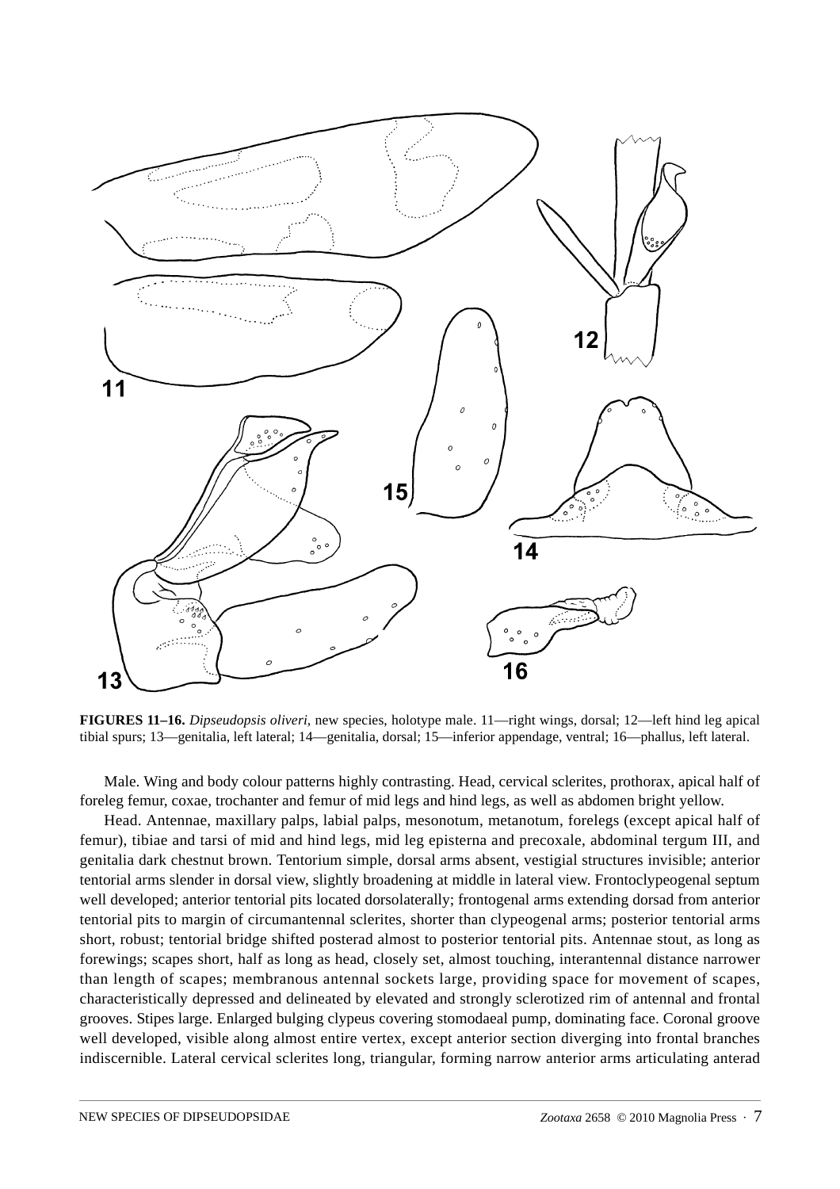

**FIGURES 11–16.** *Dipseudopsis oliveri,* new species, holotype male. 11—right wings, dorsal; 12—left hind leg apical tibial spurs; 13—genitalia, left lateral; 14—genitalia, dorsal; 15—inferior appendage, ventral; 16—phallus, left lateral.

Male. Wing and body colour patterns highly contrasting. Head, cervical sclerites, prothorax, apical half of foreleg femur, coxae, trochanter and femur of mid legs and hind legs, as well as abdomen bright yellow.

Head. Antennae, maxillary palps, labial palps, mesonotum, metanotum, forelegs (except apical half of femur), tibiae and tarsi of mid and hind legs, mid leg episterna and precoxale, abdominal tergum III, and genitalia dark chestnut brown. Tentorium simple, dorsal arms absent, vestigial structures invisible; anterior tentorial arms slender in dorsal view, slightly broadening at middle in lateral view. Frontoclypeogenal septum well developed; anterior tentorial pits located dorsolaterally; frontogenal arms extending dorsad from anterior tentorial pits to margin of circumantennal sclerites, shorter than clypeogenal arms; posterior tentorial arms short, robust; tentorial bridge shifted posterad almost to posterior tentorial pits. Antennae stout, as long as forewings; scapes short, half as long as head, closely set, almost touching, interantennal distance narrower than length of scapes; membranous antennal sockets large, providing space for movement of scapes, characteristically depressed and delineated by elevated and strongly sclerotized rim of antennal and frontal grooves. Stipes large. Enlarged bulging clypeus covering stomodaeal pump, dominating face. Coronal groove well developed, visible along almost entire vertex, except anterior section diverging into frontal branches indiscernible. Lateral cervical sclerites long, triangular, forming narrow anterior arms articulating anterad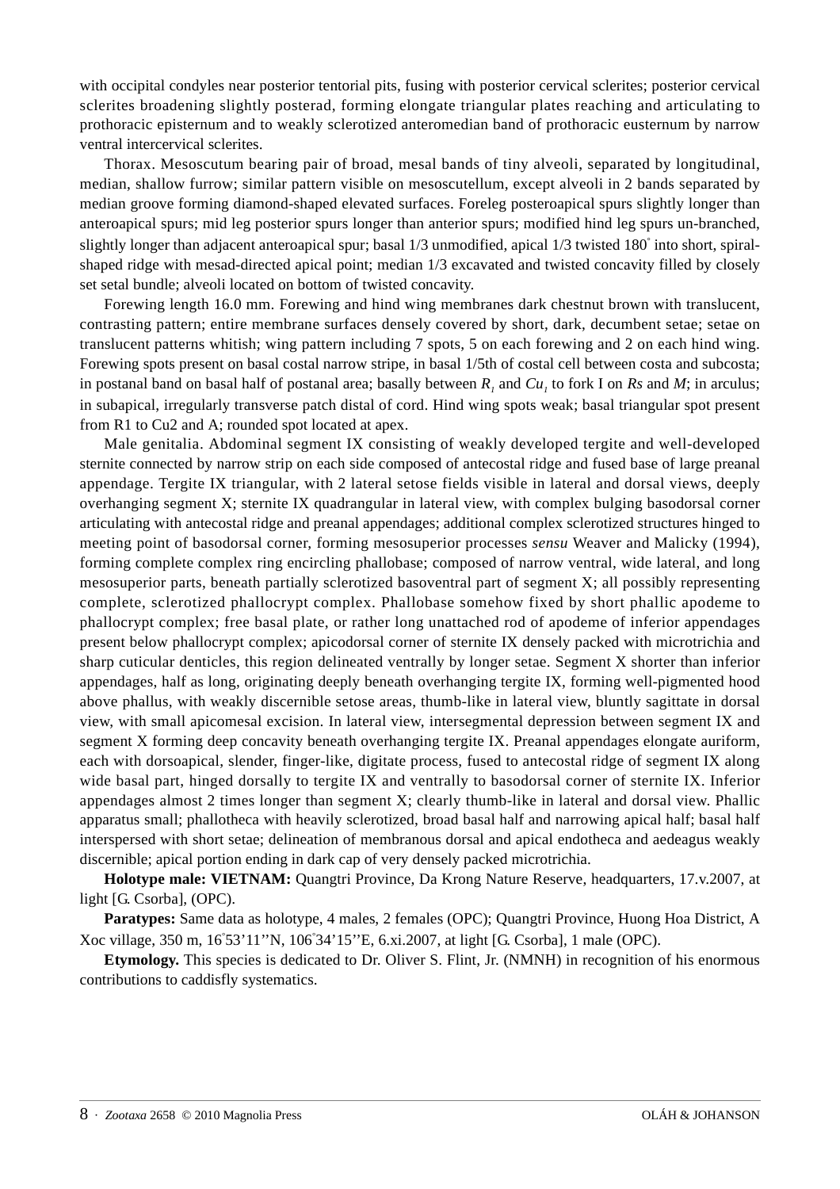with occipital condyles near posterior tentorial pits, fusing with posterior cervical sclerites; posterior cervical sclerites broadening slightly posterad, forming elongate triangular plates reaching and articulating to prothoracic episternum and to weakly sclerotized anteromedian band of prothoracic eusternum by narrow ventral intercervical sclerites.

Thorax. Mesoscutum bearing pair of broad, mesal bands of tiny alveoli, separated by longitudinal, median, shallow furrow; similar pattern visible on mesoscutellum, except alveoli in 2 bands separated by median groove forming diamond-shaped elevated surfaces. Foreleg posteroapical spurs slightly longer than anteroapical spurs; mid leg posterior spurs longer than anterior spurs; modified hind leg spurs un-branched, slightly longer than adjacent anteroapical spur; basal 1/3 unmodified, apical 1/3 twisted 180° into short, spiralshaped ridge with mesad-directed apical point; median 1/3 excavated and twisted concavity filled by closely set setal bundle; alveoli located on bottom of twisted concavity.

Forewing length 16.0 mm. Forewing and hind wing membranes dark chestnut brown with translucent, contrasting pattern; entire membrane surfaces densely covered by short, dark, decumbent setae; setae on translucent patterns whitish; wing pattern including 7 spots, 5 on each forewing and 2 on each hind wing. Forewing spots present on basal costal narrow stripe, in basal 1/5th of costal cell between costa and subcosta; in postanal band on basal half of postanal area; basally between  $R_1$  and  $Cu_1$  to fork I on  $Rs$  and  $M$ ; in arculus; in subapical, irregularly transverse patch distal of cord. Hind wing spots weak; basal triangular spot present from R1 to Cu2 and A; rounded spot located at apex.

Male genitalia. Abdominal segment IX consisting of weakly developed tergite and well-developed sternite connected by narrow strip on each side composed of antecostal ridge and fused base of large preanal appendage. Tergite IX triangular, with 2 lateral setose fields visible in lateral and dorsal views, deeply overhanging segment X; sternite IX quadrangular in lateral view, with complex bulging basodorsal corner articulating with antecostal ridge and preanal appendages; additional complex sclerotized structures hinged to meeting point of basodorsal corner, forming mesosuperior processes *sensu* Weaver and Malicky (1994), forming complete complex ring encircling phallobase; composed of narrow ventral, wide lateral, and long mesosuperior parts, beneath partially sclerotized basoventral part of segment X; all possibly representing complete, sclerotized phallocrypt complex. Phallobase somehow fixed by short phallic apodeme to phallocrypt complex; free basal plate, or rather long unattached rod of apodeme of inferior appendages present below phallocrypt complex; apicodorsal corner of sternite IX densely packed with microtrichia and sharp cuticular denticles, this region delineated ventrally by longer setae. Segment X shorter than inferior appendages, half as long, originating deeply beneath overhanging tergite IX, forming well-pigmented hood above phallus, with weakly discernible setose areas, thumb-like in lateral view, bluntly sagittate in dorsal view, with small apicomesal excision. In lateral view, intersegmental depression between segment IX and segment X forming deep concavity beneath overhanging tergite IX. Preanal appendages elongate auriform, each with dorsoapical, slender, finger-like, digitate process, fused to antecostal ridge of segment IX along wide basal part, hinged dorsally to tergite IX and ventrally to basodorsal corner of sternite IX. Inferior appendages almost 2 times longer than segment X; clearly thumb-like in lateral and dorsal view. Phallic apparatus small; phallotheca with heavily sclerotized, broad basal half and narrowing apical half; basal half interspersed with short setae; delineation of membranous dorsal and apical endotheca and aedeagus weakly discernible; apical portion ending in dark cap of very densely packed microtrichia.

**Holotype male: VIETNAM:** Quangtri Province, Da Krong Nature Reserve, headquarters, 17.v.2007, at light [G. Csorba], (OPC).

**Paratypes:** Same data as holotype, 4 males, 2 females (OPC); Quangtri Province, Huong Hoa District, A Xoc village, 350 m, 16° 53'11''N, 106° 34'15''E, 6.xi.2007, at light [G. Csorba], 1 male (OPC).

**Etymology.** This species is dedicated to Dr. Oliver S. Flint, Jr. (NMNH) in recognition of his enormous contributions to caddisfly systematics.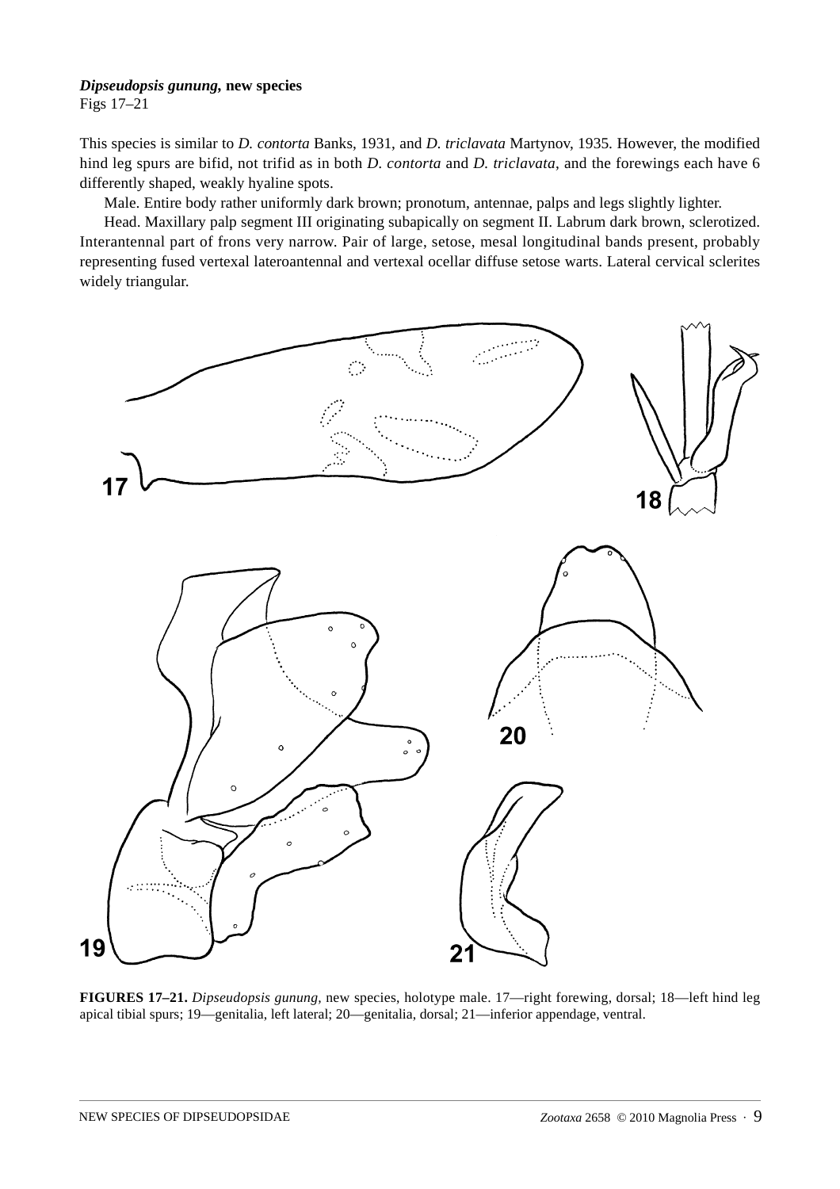## *Dipseudopsis gunung,* **new species**

Figs 17–21

This species is similar to *D. contorta* Banks, 1931, and *D. triclavata* Martynov, 1935. However, the modified hind leg spurs are bifid, not trifid as in both *D. contorta* and *D. triclavata*, and the forewings each have 6 differently shaped, weakly hyaline spots.

Male. Entire body rather uniformly dark brown; pronotum, antennae, palps and legs slightly lighter.

Head. Maxillary palp segment III originating subapically on segment II. Labrum dark brown, sclerotized. Interantennal part of frons very narrow. Pair of large, setose, mesal longitudinal bands present, probably representing fused vertexal lateroantennal and vertexal ocellar diffuse setose warts. Lateral cervical sclerites widely triangular.



**FIGURES 17–21.** *Dipseudopsis gunung,* new species, holotype male. 17—right forewing, dorsal; 18—left hind leg apical tibial spurs; 19—genitalia, left lateral; 20—genitalia, dorsal; 21—inferior appendage, ventral.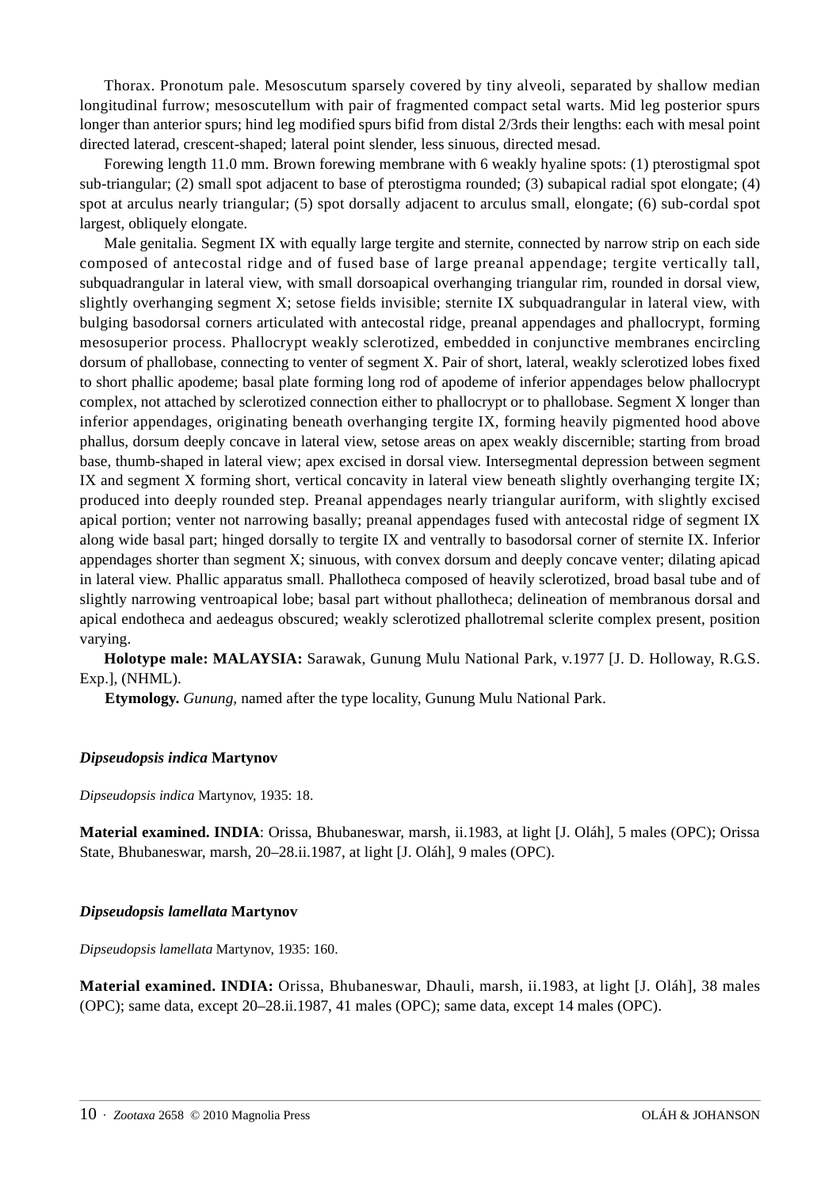Thorax. Pronotum pale. Mesoscutum sparsely covered by tiny alveoli, separated by shallow median longitudinal furrow; mesoscutellum with pair of fragmented compact setal warts. Mid leg posterior spurs longer than anterior spurs; hind leg modified spurs bifid from distal 2/3rds their lengths: each with mesal point directed laterad, crescent-shaped; lateral point slender, less sinuous, directed mesad.

Forewing length 11.0 mm. Brown forewing membrane with 6 weakly hyaline spots: (1) pterostigmal spot sub-triangular; (2) small spot adjacent to base of pterostigma rounded; (3) subapical radial spot elongate; (4) spot at arculus nearly triangular; (5) spot dorsally adjacent to arculus small, elongate; (6) sub-cordal spot largest, obliquely elongate.

Male genitalia. Segment IX with equally large tergite and sternite, connected by narrow strip on each side composed of antecostal ridge and of fused base of large preanal appendage; tergite vertically tall, subquadrangular in lateral view, with small dorsoapical overhanging triangular rim, rounded in dorsal view, slightly overhanging segment X; setose fields invisible; sternite IX subquadrangular in lateral view, with bulging basodorsal corners articulated with antecostal ridge, preanal appendages and phallocrypt, forming mesosuperior process. Phallocrypt weakly sclerotized, embedded in conjunctive membranes encircling dorsum of phallobase, connecting to venter of segment X. Pair of short, lateral, weakly sclerotized lobes fixed to short phallic apodeme; basal plate forming long rod of apodeme of inferior appendages below phallocrypt complex, not attached by sclerotized connection either to phallocrypt or to phallobase. Segment X longer than inferior appendages, originating beneath overhanging tergite IX, forming heavily pigmented hood above phallus, dorsum deeply concave in lateral view, setose areas on apex weakly discernible; starting from broad base, thumb-shaped in lateral view; apex excised in dorsal view. Intersegmental depression between segment IX and segment X forming short, vertical concavity in lateral view beneath slightly overhanging tergite IX; produced into deeply rounded step. Preanal appendages nearly triangular auriform, with slightly excised apical portion; venter not narrowing basally; preanal appendages fused with antecostal ridge of segment IX along wide basal part; hinged dorsally to tergite IX and ventrally to basodorsal corner of sternite IX. Inferior appendages shorter than segment X; sinuous, with convex dorsum and deeply concave venter; dilating apicad in lateral view. Phallic apparatus small. Phallotheca composed of heavily sclerotized, broad basal tube and of slightly narrowing ventroapical lobe; basal part without phallotheca; delineation of membranous dorsal and apical endotheca and aedeagus obscured; weakly sclerotized phallotremal sclerite complex present, position varying.

**Holotype male: MALAYSIA:** Sarawak, Gunung Mulu National Park, v.1977 [J. D. Holloway, R.G.S. Exp.], (NHML).

**Etymology.** *Gunung*, named after the type locality, Gunung Mulu National Park.

## *Dipseudopsis indica* **Martynov**

*Dipseudopsis indica* Martynov, 1935: 18.

**Material examined. INDIA**: Orissa, Bhubaneswar, marsh, ii.1983, at light [J. Oláh], 5 males (OPC); Orissa State, Bhubaneswar, marsh, 20–28.ii.1987, at light [J. Oláh], 9 males (OPC).

#### *Dipseudopsis lamellata* **Martynov**

*Dipseudopsis lamellata* Martynov, 1935: 160.

**Material examined. INDIA:** Orissa, Bhubaneswar, Dhauli, marsh, ii.1983, at light [J. Oláh], 38 males (OPC); same data, except 20–28.ii.1987, 41 males (OPC); same data, except 14 males (OPC).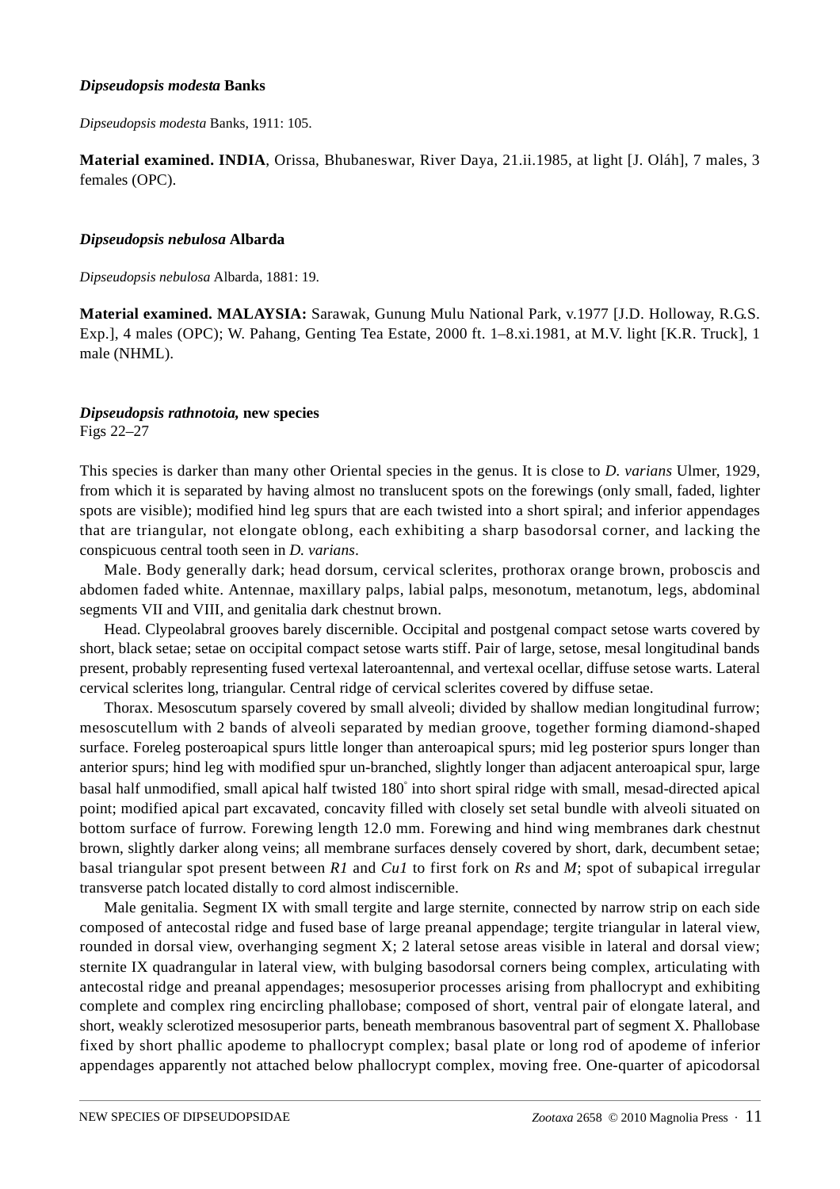#### *Dipseudopsis modesta* **Banks**

*Dipseudopsis modesta* Banks, 1911: 105.

**Material examined. INDIA**, Orissa, Bhubaneswar, River Daya, 21.ii.1985, at light [J. Oláh], 7 males, 3 females (OPC).

#### *Dipseudopsis nebulosa* **Albarda**

*Dipseudopsis nebulosa* Albarda, 1881: 19.

**Material examined. MALAYSIA:** Sarawak, Gunung Mulu National Park, v.1977 [J.D. Holloway, R.G.S. Exp.], 4 males (OPC); W. Pahang, Genting Tea Estate, 2000 ft. 1–8.xi.1981, at M.V. light [K.R. Truck], 1 male (NHML).

## *Dipseudopsis rathnotoia,* **new species**

Figs 22–27

This species is darker than many other Oriental species in the genus. It is close to *D. varians* Ulmer, 1929, from which it is separated by having almost no translucent spots on the forewings (only small, faded, lighter spots are visible); modified hind leg spurs that are each twisted into a short spiral; and inferior appendages that are triangular, not elongate oblong, each exhibiting a sharp basodorsal corner, and lacking the conspicuous central tooth seen in *D. varians*.

Male. Body generally dark; head dorsum, cervical sclerites, prothorax orange brown, proboscis and abdomen faded white. Antennae, maxillary palps, labial palps, mesonotum, metanotum, legs, abdominal segments VII and VIII, and genitalia dark chestnut brown.

Head. Clypeolabral grooves barely discernible. Occipital and postgenal compact setose warts covered by short, black setae; setae on occipital compact setose warts stiff. Pair of large, setose, mesal longitudinal bands present, probably representing fused vertexal lateroantennal, and vertexal ocellar, diffuse setose warts. Lateral cervical sclerites long, triangular. Central ridge of cervical sclerites covered by diffuse setae.

Thorax. Mesoscutum sparsely covered by small alveoli; divided by shallow median longitudinal furrow; mesoscutellum with 2 bands of alveoli separated by median groove, together forming diamond-shaped surface. Foreleg posteroapical spurs little longer than anteroapical spurs; mid leg posterior spurs longer than anterior spurs; hind leg with modified spur un-branched, slightly longer than adjacent anteroapical spur, large basal half unmodified, small apical half twisted 180° into short spiral ridge with small, mesad-directed apical point; modified apical part excavated, concavity filled with closely set setal bundle with alveoli situated on bottom surface of furrow. Forewing length 12.0 mm. Forewing and hind wing membranes dark chestnut brown, slightly darker along veins; all membrane surfaces densely covered by short, dark, decumbent setae; basal triangular spot present between *R1* and *Cu1* to first fork on *Rs* and *M*; spot of subapical irregular transverse patch located distally to cord almost indiscernible.

Male genitalia. Segment IX with small tergite and large sternite, connected by narrow strip on each side composed of antecostal ridge and fused base of large preanal appendage; tergite triangular in lateral view, rounded in dorsal view, overhanging segment X; 2 lateral setose areas visible in lateral and dorsal view; sternite IX quadrangular in lateral view, with bulging basodorsal corners being complex, articulating with antecostal ridge and preanal appendages; mesosuperior processes arising from phallocrypt and exhibiting complete and complex ring encircling phallobase; composed of short, ventral pair of elongate lateral, and short, weakly sclerotized mesosuperior parts, beneath membranous basoventral part of segment X. Phallobase fixed by short phallic apodeme to phallocrypt complex; basal plate or long rod of apodeme of inferior appendages apparently not attached below phallocrypt complex, moving free. One-quarter of apicodorsal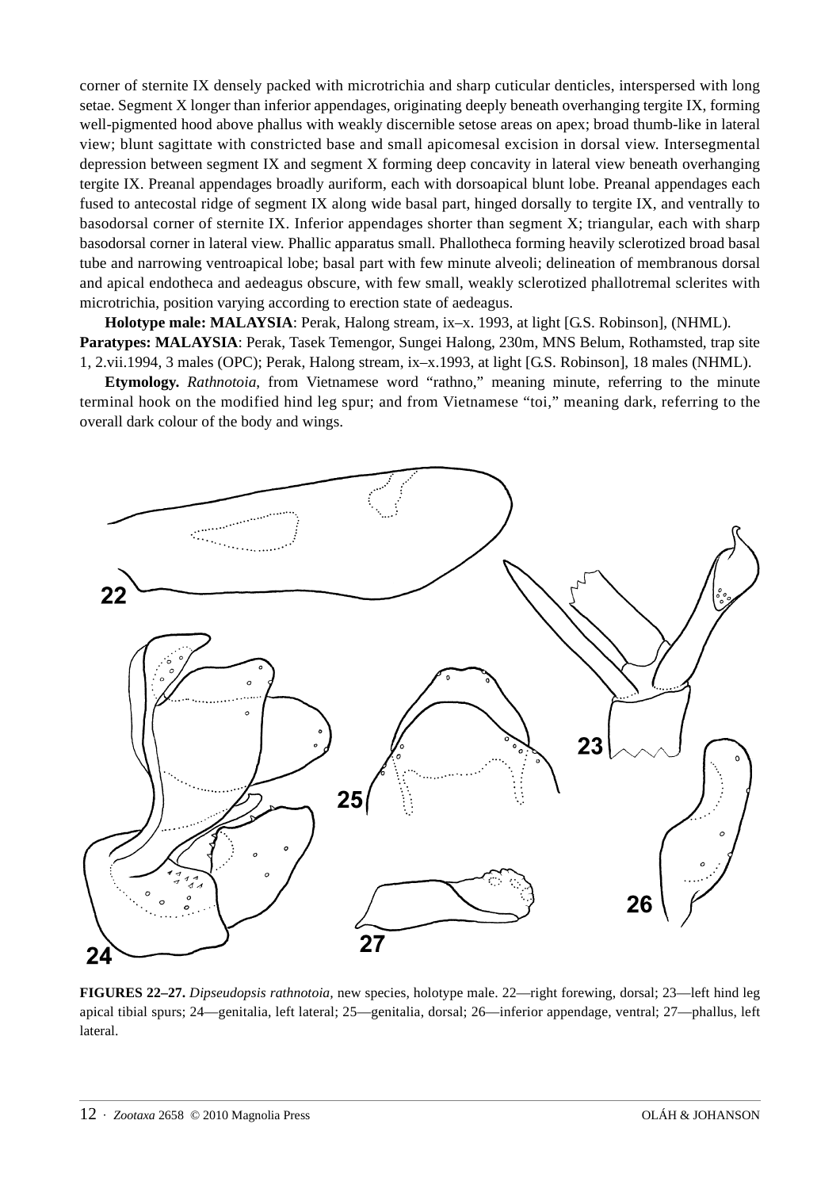corner of sternite IX densely packed with microtrichia and sharp cuticular denticles, interspersed with long setae. Segment X longer than inferior appendages, originating deeply beneath overhanging tergite IX, forming well-pigmented hood above phallus with weakly discernible setose areas on apex; broad thumb-like in lateral view; blunt sagittate with constricted base and small apicomesal excision in dorsal view. Intersegmental depression between segment IX and segment X forming deep concavity in lateral view beneath overhanging tergite IX. Preanal appendages broadly auriform, each with dorsoapical blunt lobe. Preanal appendages each fused to antecostal ridge of segment IX along wide basal part, hinged dorsally to tergite IX, and ventrally to basodorsal corner of sternite IX. Inferior appendages shorter than segment X; triangular, each with sharp basodorsal corner in lateral view. Phallic apparatus small. Phallotheca forming heavily sclerotized broad basal tube and narrowing ventroapical lobe; basal part with few minute alveoli; delineation of membranous dorsal and apical endotheca and aedeagus obscure, with few small, weakly sclerotized phallotremal sclerites with microtrichia, position varying according to erection state of aedeagus.

**Holotype male: MALAYSIA**: Perak, Halong stream, ix–x. 1993, at light [G.S. Robinson], (NHML). **Paratypes: MALAYSIA**: Perak, Tasek Temengor, Sungei Halong, 230m, MNS Belum, Rothamsted, trap site 1, 2.vii.1994, 3 males (OPC); Perak, Halong stream, ix–x.1993, at light [G.S. Robinson], 18 males (NHML).

**Etymology.** *Rathnotoia*, from Vietnamese word "rathno," meaning minute, referring to the minute terminal hook on the modified hind leg spur; and from Vietnamese "toi," meaning dark, referring to the overall dark colour of the body and wings.



**FIGURES 22–27.** *Dipseudopsis rathnotoia,* new species, holotype male. 22—right forewing, dorsal; 23—left hind leg apical tibial spurs; 24—genitalia, left lateral; 25—genitalia, dorsal; 26—inferior appendage, ventral; 27—phallus, left lateral.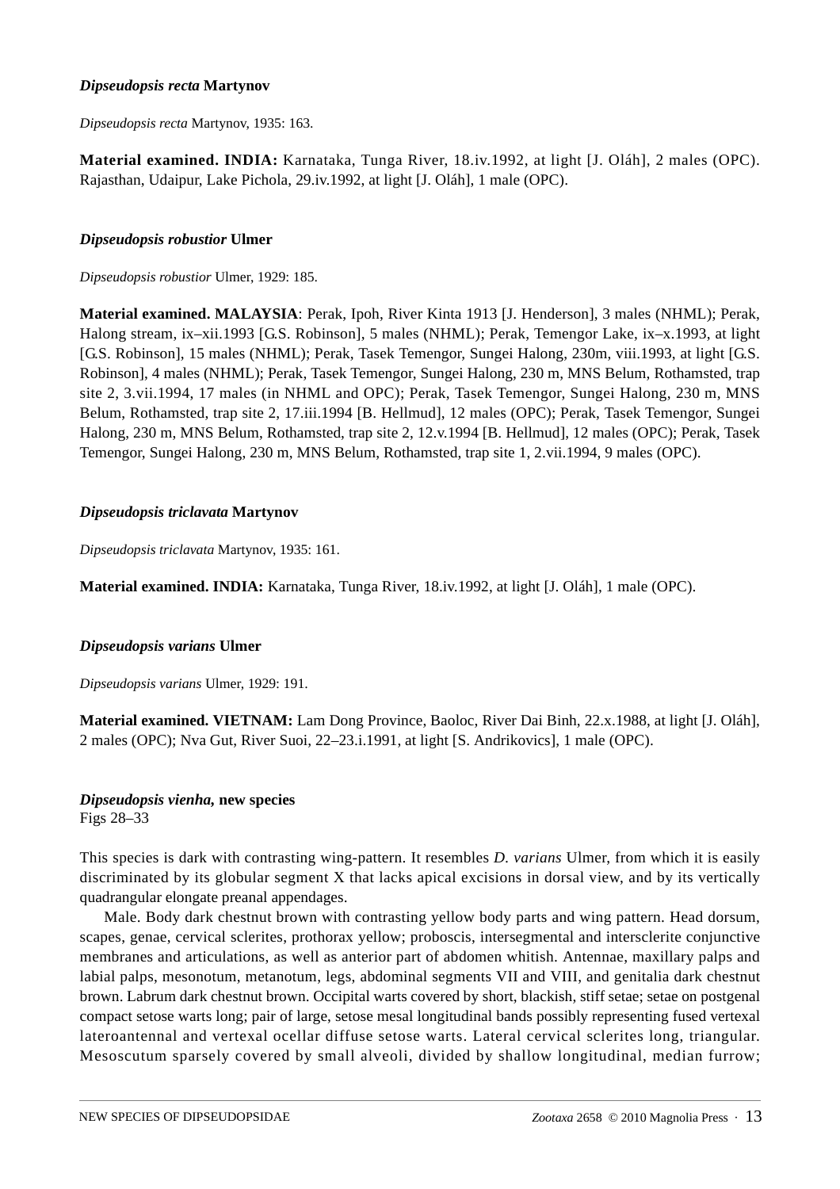## *Dipseudopsis recta* **Martynov**

*Dipseudopsis recta* Martynov, 1935: 163.

**Material examined. INDIA:** Karnataka, Tunga River, 18.iv.1992, at light [J. Oláh], 2 males (OPC). Rajasthan, Udaipur, Lake Pichola, 29.iv.1992, at light [J. Oláh], 1 male (OPC).

## *Dipseudopsis robustior* **Ulmer**

*Dipseudopsis robustior* Ulmer, 1929: 185.

**Material examined. MALAYSIA**: Perak, Ipoh, River Kinta 1913 [J. Henderson], 3 males (NHML); Perak, Halong stream, ix–xii.1993 [G.S. Robinson], 5 males (NHML); Perak, Temengor Lake, ix–x.1993, at light [G.S. Robinson], 15 males (NHML); Perak, Tasek Temengor, Sungei Halong, 230m, viii.1993, at light [G.S. Robinson], 4 males (NHML); Perak, Tasek Temengor, Sungei Halong, 230 m, MNS Belum, Rothamsted, trap site 2, 3.vii.1994, 17 males (in NHML and OPC); Perak, Tasek Temengor, Sungei Halong, 230 m, MNS Belum, Rothamsted, trap site 2, 17.iii.1994 [B. Hellmud], 12 males (OPC); Perak, Tasek Temengor, Sungei Halong, 230 m, MNS Belum, Rothamsted, trap site 2, 12.v.1994 [B. Hellmud], 12 males (OPC); Perak, Tasek Temengor, Sungei Halong, 230 m, MNS Belum, Rothamsted, trap site 1, 2.vii.1994, 9 males (OPC).

## *Dipseudopsis triclavata* **Martynov**

*Dipseudopsis triclavata* Martynov, 1935: 161.

**Material examined. INDIA:** Karnataka, Tunga River, 18.iv.1992, at light [J. Oláh], 1 male (OPC).

## *Dipseudopsis varians* **Ulmer**

*Dipseudopsis varians* Ulmer, 1929: 191.

**Material examined. VIETNAM:** Lam Dong Province, Baoloc, River Dai Binh, 22.x.1988, at light [J. Oláh], 2 males (OPC); Nva Gut, River Suoi, 22–23.i.1991, at light [S. Andrikovics], 1 male (OPC).

## *Dipseudopsis vienha,* **new species**

Figs 28–33

This species is dark with contrasting wing-pattern. It resembles *D. varians* Ulmer, from which it is easily discriminated by its globular segment X that lacks apical excisions in dorsal view, and by its vertically quadrangular elongate preanal appendages.

Male. Body dark chestnut brown with contrasting yellow body parts and wing pattern. Head dorsum, scapes, genae, cervical sclerites, prothorax yellow; proboscis, intersegmental and intersclerite conjunctive membranes and articulations, as well as anterior part of abdomen whitish. Antennae, maxillary palps and labial palps, mesonotum, metanotum, legs, abdominal segments VII and VIII, and genitalia dark chestnut brown. Labrum dark chestnut brown. Occipital warts covered by short, blackish, stiff setae; setae on postgenal compact setose warts long; pair of large, setose mesal longitudinal bands possibly representing fused vertexal lateroantennal and vertexal ocellar diffuse setose warts. Lateral cervical sclerites long, triangular. Mesoscutum sparsely covered by small alveoli, divided by shallow longitudinal, median furrow;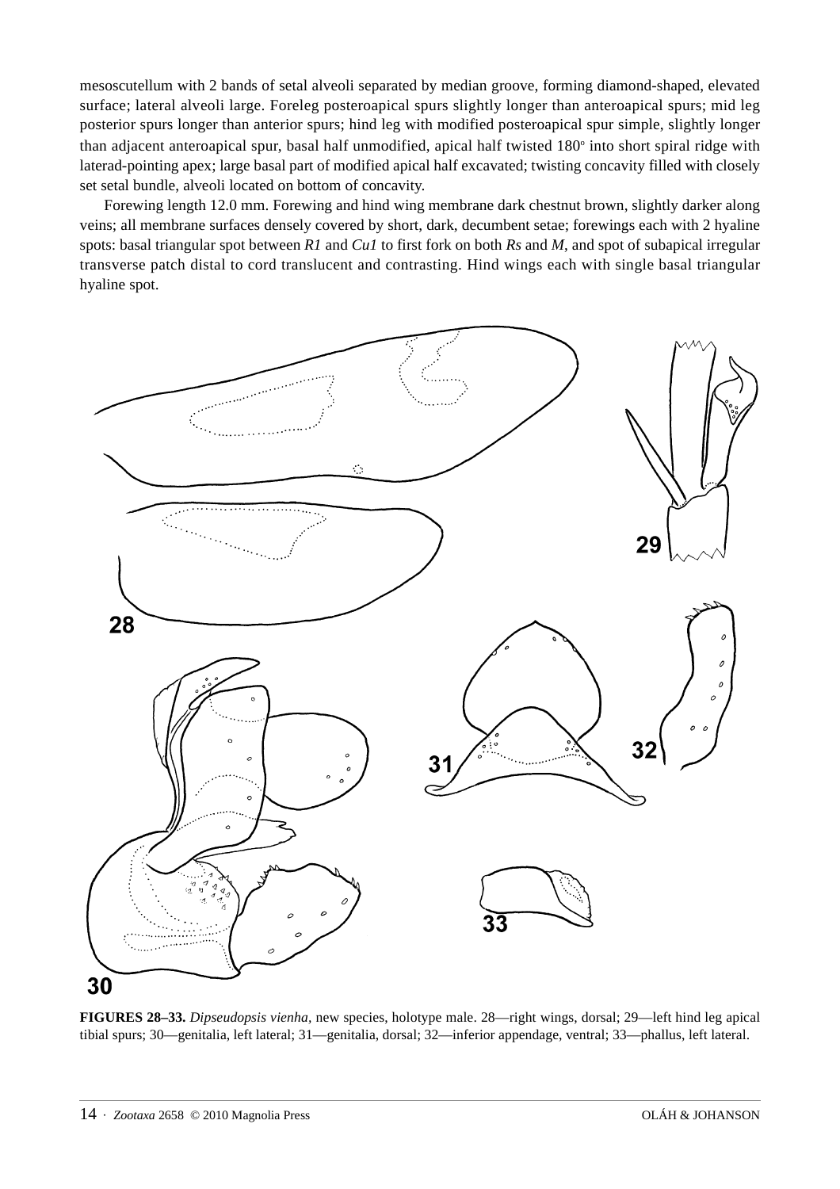mesoscutellum with 2 bands of setal alveoli separated by median groove, forming diamond-shaped, elevated surface; lateral alveoli large. Foreleg posteroapical spurs slightly longer than anteroapical spurs; mid leg posterior spurs longer than anterior spurs; hind leg with modified posteroapical spur simple, slightly longer than adjacent anteroapical spur, basal half unmodified, apical half twisted 180° into short spiral ridge with laterad-pointing apex; large basal part of modified apical half excavated; twisting concavity filled with closely set setal bundle, alveoli located on bottom of concavity.

Forewing length 12.0 mm. Forewing and hind wing membrane dark chestnut brown, slightly darker along veins; all membrane surfaces densely covered by short, dark, decumbent setae; forewings each with 2 hyaline spots: basal triangular spot between *R1* and *Cu1* to first fork on both *Rs* and *M*, and spot of subapical irregular transverse patch distal to cord translucent and contrasting. Hind wings each with single basal triangular hyaline spot.



**FIGURES 28–33.** *Dipseudopsis vienha,* new species, holotype male. 28—right wings, dorsal; 29—left hind leg apical tibial spurs; 30—genitalia, left lateral; 31—genitalia, dorsal; 32—inferior appendage, ventral; 33—phallus, left lateral.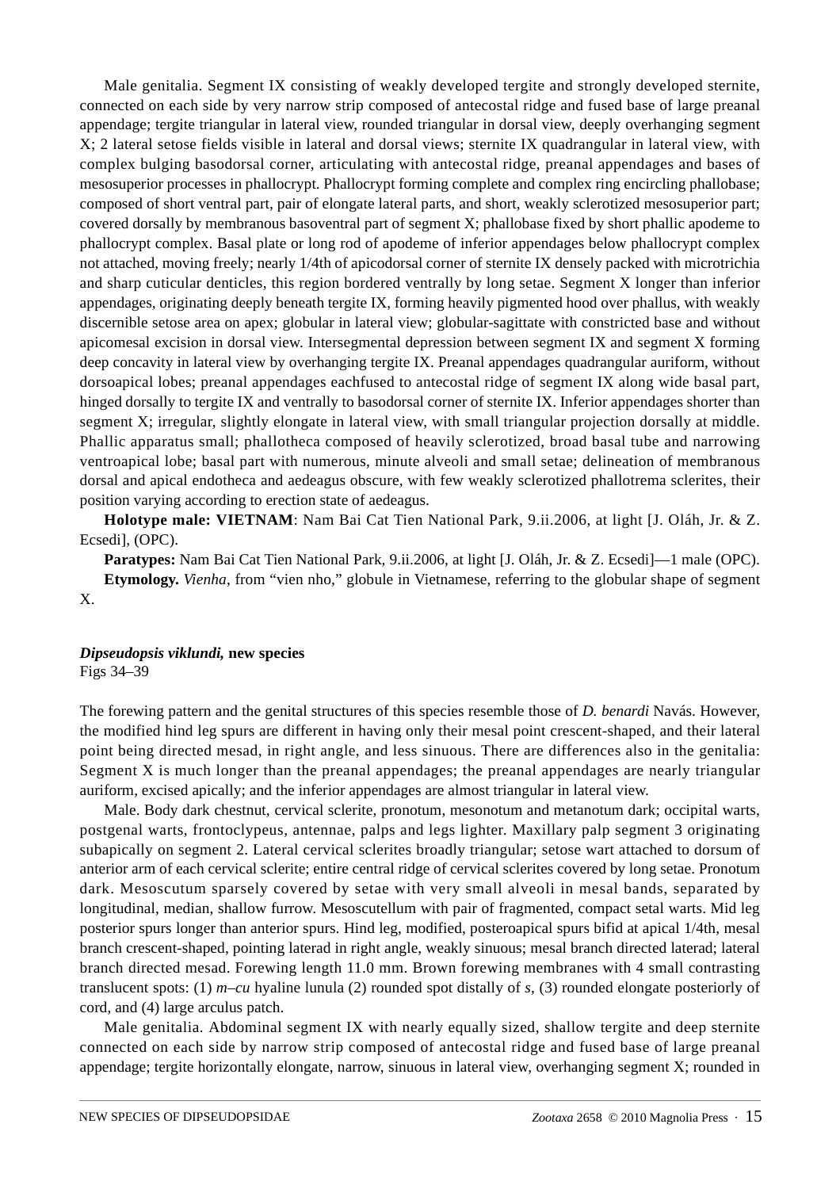Male genitalia. Segment IX consisting of weakly developed tergite and strongly developed sternite, connected on each side by very narrow strip composed of antecostal ridge and fused base of large preanal appendage; tergite triangular in lateral view, rounded triangular in dorsal view, deeply overhanging segment X; 2 lateral setose fields visible in lateral and dorsal views; sternite IX quadrangular in lateral view, with complex bulging basodorsal corner, articulating with antecostal ridge, preanal appendages and bases of mesosuperior processes in phallocrypt. Phallocrypt forming complete and complex ring encircling phallobase; composed of short ventral part, pair of elongate lateral parts, and short, weakly sclerotized mesosuperior part; covered dorsally by membranous basoventral part of segment X; phallobase fixed by short phallic apodeme to phallocrypt complex. Basal plate or long rod of apodeme of inferior appendages below phallocrypt complex not attached, moving freely; nearly 1/4th of apicodorsal corner of sternite IX densely packed with microtrichia and sharp cuticular denticles, this region bordered ventrally by long setae. Segment X longer than inferior appendages, originating deeply beneath tergite IX, forming heavily pigmented hood over phallus, with weakly discernible setose area on apex; globular in lateral view; globular-sagittate with constricted base and without apicomesal excision in dorsal view. Intersegmental depression between segment IX and segment X forming deep concavity in lateral view by overhanging tergite IX. Preanal appendages quadrangular auriform, without dorsoapical lobes; preanal appendages eachfused to antecostal ridge of segment IX along wide basal part, hinged dorsally to tergite IX and ventrally to basodorsal corner of sternite IX. Inferior appendages shorter than segment X; irregular, slightly elongate in lateral view, with small triangular projection dorsally at middle. Phallic apparatus small; phallotheca composed of heavily sclerotized, broad basal tube and narrowing ventroapical lobe; basal part with numerous, minute alveoli and small setae; delineation of membranous dorsal and apical endotheca and aedeagus obscure, with few weakly sclerotized phallotrema sclerites, their position varying according to erection state of aedeagus.

**Holotype male: VIETNAM**: Nam Bai Cat Tien National Park, 9.ii.2006, at light [J. Oláh, Jr. & Z. Ecsedi], (OPC).

**Paratypes:** Nam Bai Cat Tien National Park, 9.ii.2006, at light [J. Oláh, Jr. & Z. Ecsedi]—1 male (OPC). **Etymology.** *Vienha*, from "vien nho," globule in Vietnamese, referring to the globular shape of segment

#### *Dipseudopsis viklundi,* **new species** Figs 34–39

X.

The forewing pattern and the genital structures of this species resemble those of *D. benardi* Navás. However, the modified hind leg spurs are different in having only their mesal point crescent-shaped, and their lateral point being directed mesad, in right angle, and less sinuous. There are differences also in the genitalia: Segment X is much longer than the preanal appendages; the preanal appendages are nearly triangular auriform, excised apically; and the inferior appendages are almost triangular in lateral view.

Male. Body dark chestnut, cervical sclerite, pronotum, mesonotum and metanotum dark; occipital warts, postgenal warts, frontoclypeus, antennae, palps and legs lighter. Maxillary palp segment 3 originating subapically on segment 2. Lateral cervical sclerites broadly triangular; setose wart attached to dorsum of anterior arm of each cervical sclerite; entire central ridge of cervical sclerites covered by long setae. Pronotum dark. Mesoscutum sparsely covered by setae with very small alveoli in mesal bands, separated by longitudinal, median, shallow furrow. Mesoscutellum with pair of fragmented, compact setal warts. Mid leg posterior spurs longer than anterior spurs. Hind leg, modified, posteroapical spurs bifid at apical 1/4th, mesal branch crescent-shaped, pointing laterad in right angle, weakly sinuous; mesal branch directed laterad; lateral branch directed mesad. Forewing length 11.0 mm. Brown forewing membranes with 4 small contrasting translucent spots: (1) *m–cu* hyaline lunula (2) rounded spot distally of *s*, (3) rounded elongate posteriorly of cord, and (4) large arculus patch.

Male genitalia. Abdominal segment IX with nearly equally sized, shallow tergite and deep sternite connected on each side by narrow strip composed of antecostal ridge and fused base of large preanal appendage; tergite horizontally elongate, narrow, sinuous in lateral view, overhanging segment X; rounded in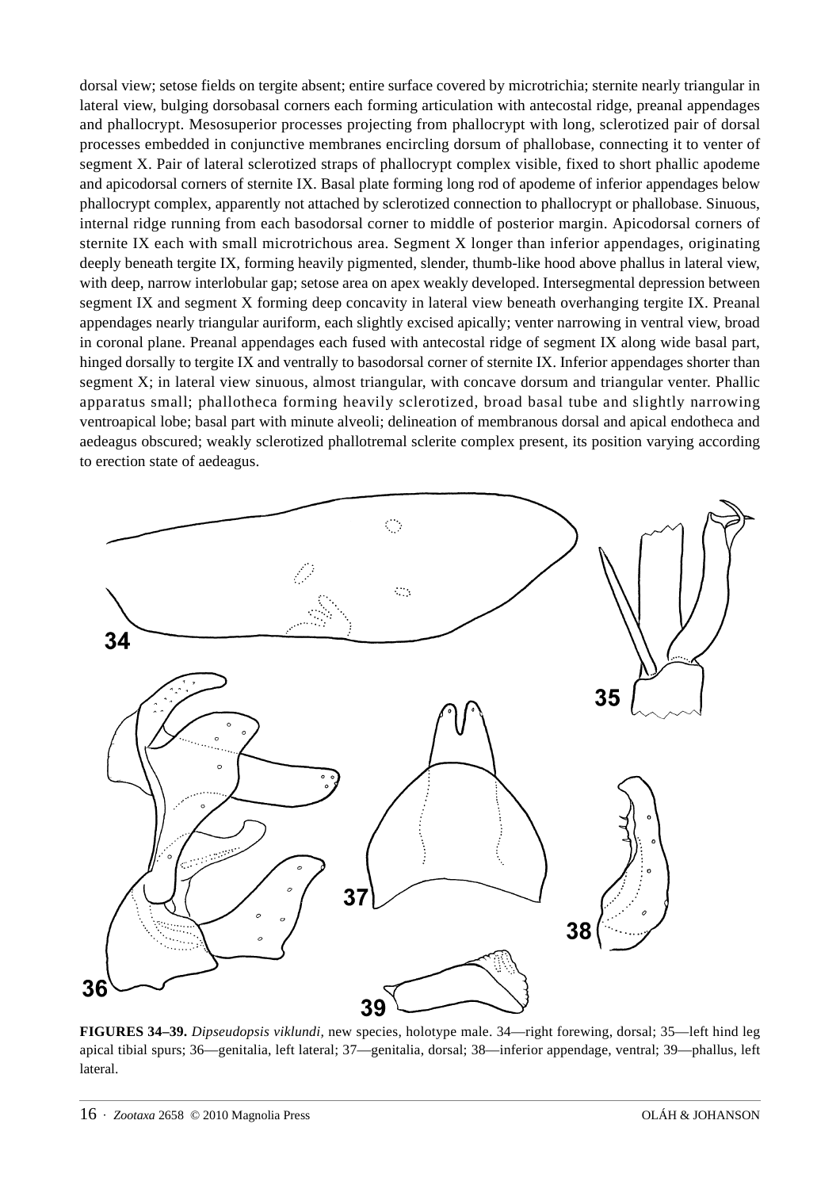dorsal view; setose fields on tergite absent; entire surface covered by microtrichia; sternite nearly triangular in lateral view, bulging dorsobasal corners each forming articulation with antecostal ridge, preanal appendages and phallocrypt. Mesosuperior processes projecting from phallocrypt with long, sclerotized pair of dorsal processes embedded in conjunctive membranes encircling dorsum of phallobase, connecting it to venter of segment X. Pair of lateral sclerotized straps of phallocrypt complex visible, fixed to short phallic apodeme and apicodorsal corners of sternite IX. Basal plate forming long rod of apodeme of inferior appendages below phallocrypt complex, apparently not attached by sclerotized connection to phallocrypt or phallobase. Sinuous, internal ridge running from each basodorsal corner to middle of posterior margin. Apicodorsal corners of sternite IX each with small microtrichous area. Segment X longer than inferior appendages, originating deeply beneath tergite IX, forming heavily pigmented, slender, thumb-like hood above phallus in lateral view, with deep, narrow interlobular gap; setose area on apex weakly developed. Intersegmental depression between segment IX and segment X forming deep concavity in lateral view beneath overhanging tergite IX. Preanal appendages nearly triangular auriform, each slightly excised apically; venter narrowing in ventral view, broad in coronal plane. Preanal appendages each fused with antecostal ridge of segment IX along wide basal part, hinged dorsally to tergite IX and ventrally to basodorsal corner of sternite IX. Inferior appendages shorter than segment X; in lateral view sinuous, almost triangular, with concave dorsum and triangular venter. Phallic apparatus small; phallotheca forming heavily sclerotized, broad basal tube and slightly narrowing ventroapical lobe; basal part with minute alveoli; delineation of membranous dorsal and apical endotheca and aedeagus obscured; weakly sclerotized phallotremal sclerite complex present, its position varying according to erection state of aedeagus.



**FIGURES 34–39.** *Dipseudopsis viklundi,* new species, holotype male. 34—right forewing, dorsal; 35—left hind leg apical tibial spurs; 36—genitalia, left lateral; 37—genitalia, dorsal; 38—inferior appendage, ventral; 39—phallus, left lateral.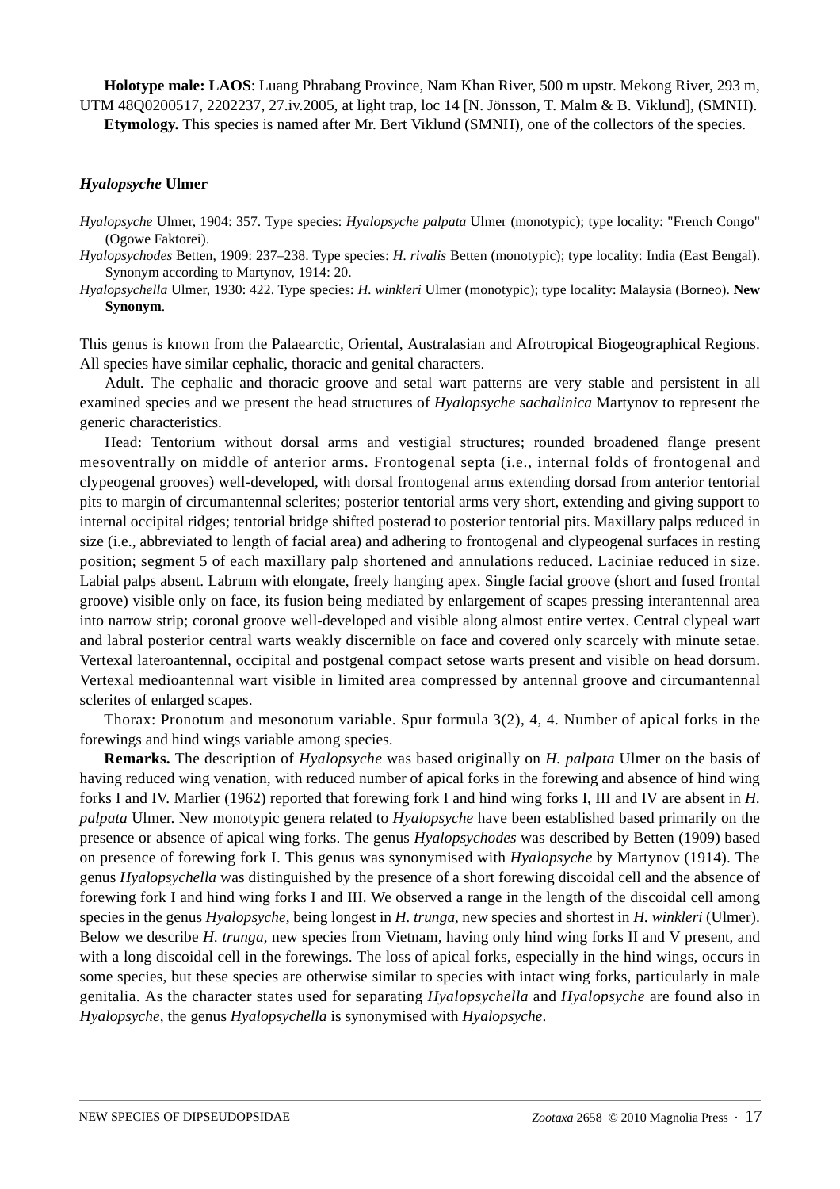**Holotype male: LAOS**: Luang Phrabang Province, Nam Khan River, 500 m upstr. Mekong River, 293 m, UTM 48Q0200517, 2202237, 27.iv.2005, at light trap, loc 14 [N. Jönsson, T. Malm & B. Viklund], (SMNH).

**Etymology.** This species is named after Mr. Bert Viklund (SMNH), one of the collectors of the species.

## *Hyalopsyche* **Ulmer**

*Hyalopsyche* Ulmer, 1904: 357. Type species: *Hyalopsyche palpata* Ulmer (monotypic); type locality: "French Congo" (Ogowe Faktorei).

- *Hyalopsychodes* Betten, 1909: 237–238. Type species: *H. rivalis* Betten (monotypic); type locality: India (East Bengal). Synonym according to Martynov, 1914: 20.
- *Hyalopsychella* Ulmer, 1930: 422. Type species: *H. winkleri* Ulmer (monotypic); type locality: Malaysia (Borneo). **New Synonym**.

This genus is known from the Palaearctic, Oriental, Australasian and Afrotropical Biogeographical Regions. All species have similar cephalic, thoracic and genital characters.

Adult. The cephalic and thoracic groove and setal wart patterns are very stable and persistent in all examined species and we present the head structures of *Hyalopsyche sachalinica* Martynov to represent the generic characteristics.

Head: Tentorium without dorsal arms and vestigial structures; rounded broadened flange present mesoventrally on middle of anterior arms. Frontogenal septa (i.e., internal folds of frontogenal and clypeogenal grooves) well-developed, with dorsal frontogenal arms extending dorsad from anterior tentorial pits to margin of circumantennal sclerites; posterior tentorial arms very short, extending and giving support to internal occipital ridges; tentorial bridge shifted posterad to posterior tentorial pits. Maxillary palps reduced in size (i.e., abbreviated to length of facial area) and adhering to frontogenal and clypeogenal surfaces in resting position; segment 5 of each maxillary palp shortened and annulations reduced. Laciniae reduced in size. Labial palps absent. Labrum with elongate, freely hanging apex. Single facial groove (short and fused frontal groove) visible only on face, its fusion being mediated by enlargement of scapes pressing interantennal area into narrow strip; coronal groove well-developed and visible along almost entire vertex. Central clypeal wart and labral posterior central warts weakly discernible on face and covered only scarcely with minute setae. Vertexal lateroantennal, occipital and postgenal compact setose warts present and visible on head dorsum. Vertexal medioantennal wart visible in limited area compressed by antennal groove and circumantennal sclerites of enlarged scapes.

Thorax: Pronotum and mesonotum variable. Spur formula 3(2), 4, 4. Number of apical forks in the forewings and hind wings variable among species.

**Remarks.** The description of *Hyalopsyche* was based originally on *H. palpata* Ulmer on the basis of having reduced wing venation, with reduced number of apical forks in the forewing and absence of hind wing forks I and IV. Marlier (1962) reported that forewing fork I and hind wing forks I, III and IV are absent in *H. palpata* Ulmer. New monotypic genera related to *Hyalopsyche* have been established based primarily on the presence or absence of apical wing forks. The genus *Hyalopsychodes* was described by Betten (1909) based on presence of forewing fork I. This genus was synonymised with *Hyalopsyche* by Martynov (1914). The genus *Hyalopsychella* was distinguished by the presence of a short forewing discoidal cell and the absence of forewing fork I and hind wing forks I and III. We observed a range in the length of the discoidal cell among species in the genus *Hyalopsyche*, being longest in *H. trunga*, new species and shortest in *H. winkleri* (Ulmer). Below we describe *H. trunga*, new species from Vietnam, having only hind wing forks II and V present, and with a long discoidal cell in the forewings. The loss of apical forks, especially in the hind wings, occurs in some species, but these species are otherwise similar to species with intact wing forks, particularly in male genitalia. As the character states used for separating *Hyalopsychella* and *Hyalopsyche* are found also in *Hyalopsyche*, the genus *Hyalopsychella* is synonymised with *Hyalopsyche*.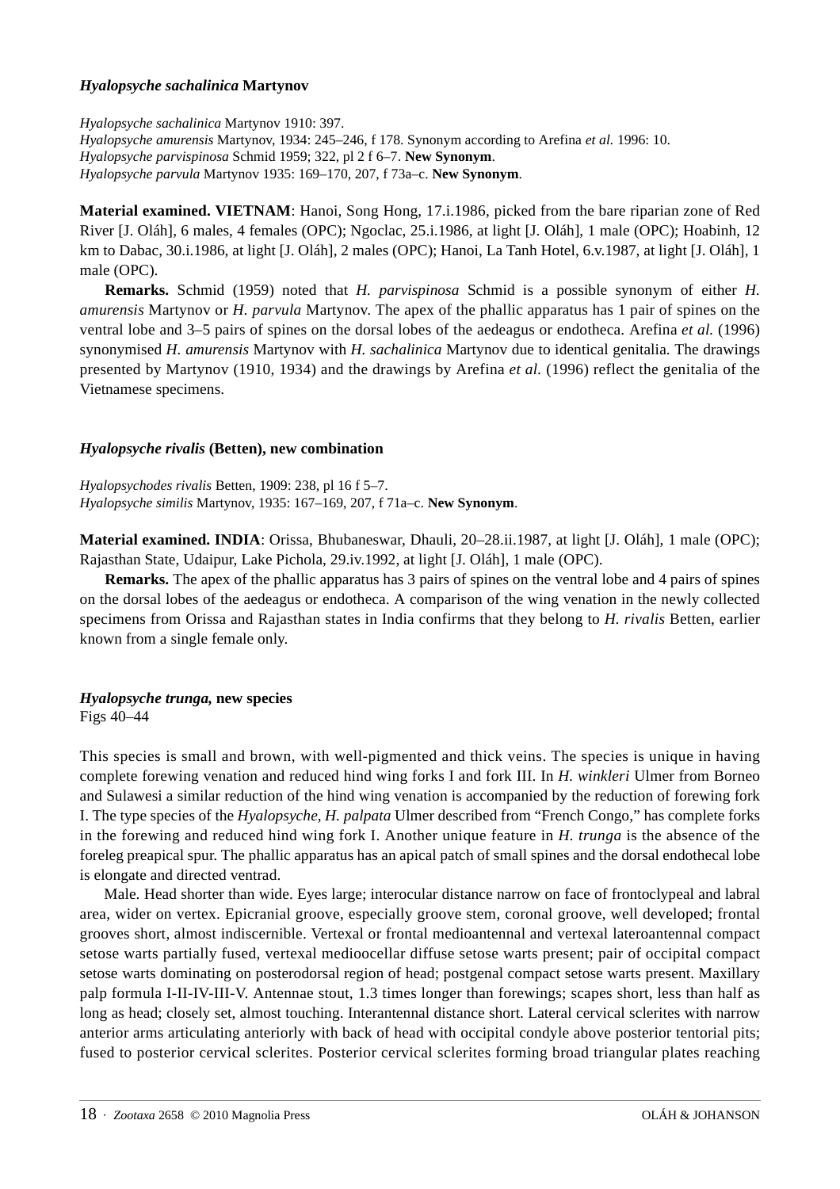#### *Hyalopsyche sachalinica* **Martynov**

*Hyalopsyche sachalinica* Martynov 1910: 397.

*Hyalopsyche amurensis* Martynov, 1934: 245–246, f 178. Synonym according to Arefina *et al.* 1996: 10. *Hyalopsyche parvispinosa* Schmid 1959; 322, pl 2 f 6–7. **New Synonym**. *Hyalopsyche parvula* Martynov 1935: 169–170, 207, f 73a–c. **New Synonym**.

**Material examined. VIETNAM**: Hanoi, Song Hong, 17.i.1986, picked from the bare riparian zone of Red River [J. Oláh], 6 males, 4 females (OPC); Ngoclac, 25.i.1986, at light [J. Oláh], 1 male (OPC); Hoabinh, 12 km to Dabac, 30.i.1986, at light [J. Oláh], 2 males (OPC); Hanoi, La Tanh Hotel, 6.v.1987, at light [J. Oláh], 1 male (OPC).

**Remarks.** Schmid (1959) noted that *H. parvispinosa* Schmid is a possible synonym of either *H. amurensis* Martynov or *H. parvula* Martynov. The apex of the phallic apparatus has 1 pair of spines on the ventral lobe and 3–5 pairs of spines on the dorsal lobes of the aedeagus or endotheca. Arefina *et al.* (1996) synonymised *H. amurensis* Martynov with *H. sachalinica* Martynov due to identical genitalia. The drawings presented by Martynov (1910, 1934) and the drawings by Arefina *et al.* (1996) reflect the genitalia of the Vietnamese specimens.

## *Hyalopsyche rivalis* **(Betten), new combination**

*Hyalopsychodes rivalis* Betten, 1909: 238, pl 16 f 5–7. *Hyalopsyche similis* Martynov, 1935: 167–169, 207, f 71a–c. **New Synonym**.

**Material examined. INDIA**: Orissa, Bhubaneswar, Dhauli, 20–28.ii.1987, at light [J. Oláh], 1 male (OPC); Rajasthan State, Udaipur, Lake Pichola, 29.iv.1992, at light [J. Oláh], 1 male (OPC).

**Remarks.** The apex of the phallic apparatus has 3 pairs of spines on the ventral lobe and 4 pairs of spines on the dorsal lobes of the aedeagus or endotheca. A comparison of the wing venation in the newly collected specimens from Orissa and Rajasthan states in India confirms that they belong to *H. rivalis* Betten, earlier known from a single female only.

## *Hyalopsyche trunga,* **new species**

Figs 40–44

This species is small and brown, with well-pigmented and thick veins. The species is unique in having complete forewing venation and reduced hind wing forks I and fork III. In *H. winkleri* Ulmer from Borneo and Sulawesi a similar reduction of the hind wing venation is accompanied by the reduction of forewing fork I. The type species of the *Hyalopsyche*, *H. palpata* Ulmer described from "French Congo," has complete forks in the forewing and reduced hind wing fork I. Another unique feature in *H. trunga* is the absence of the foreleg preapical spur. The phallic apparatus has an apical patch of small spines and the dorsal endothecal lobe is elongate and directed ventrad.

Male. Head shorter than wide. Eyes large; interocular distance narrow on face of frontoclypeal and labral area, wider on vertex. Epicranial groove, especially groove stem, coronal groove, well developed; frontal grooves short, almost indiscernible. Vertexal or frontal medioantennal and vertexal lateroantennal compact setose warts partially fused, vertexal medioocellar diffuse setose warts present; pair of occipital compact setose warts dominating on posterodorsal region of head; postgenal compact setose warts present. Maxillary palp formula I-II-IV-III-V. Antennae stout, 1.3 times longer than forewings; scapes short, less than half as long as head; closely set, almost touching. Interantennal distance short. Lateral cervical sclerites with narrow anterior arms articulating anteriorly with back of head with occipital condyle above posterior tentorial pits; fused to posterior cervical sclerites. Posterior cervical sclerites forming broad triangular plates reaching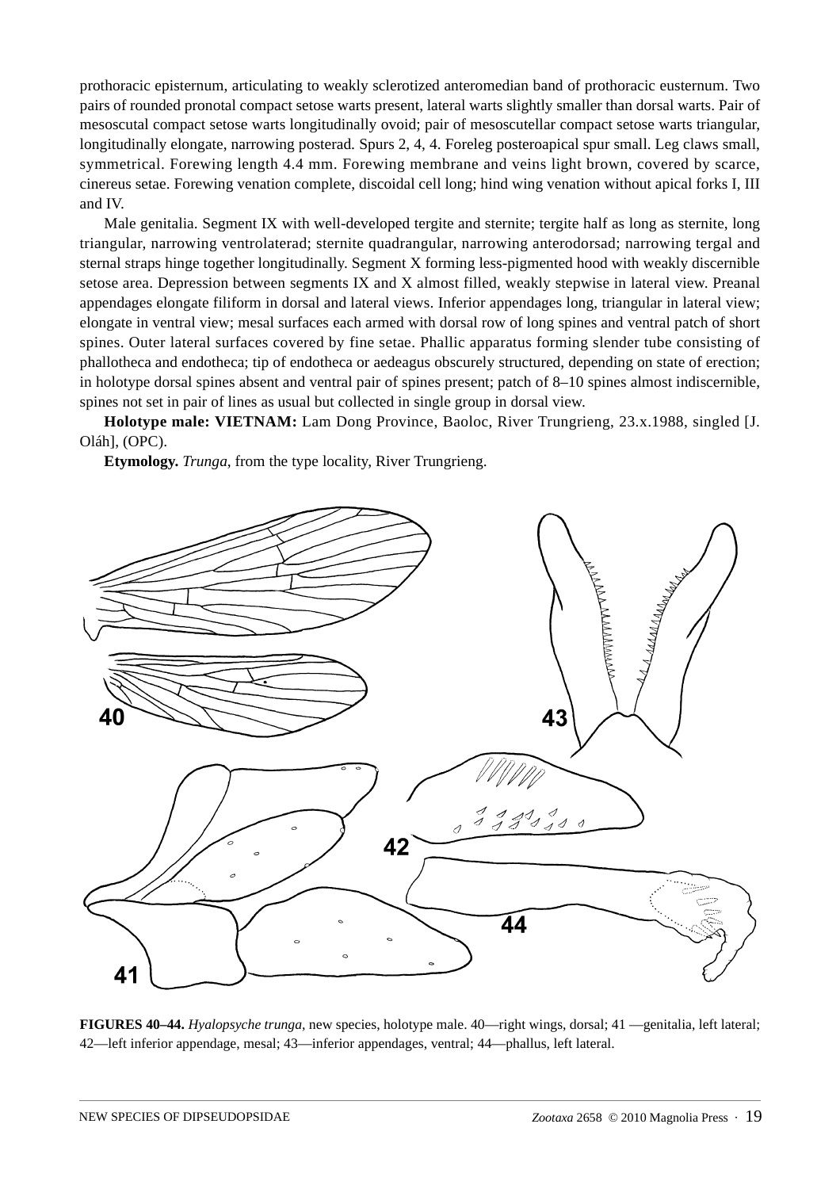prothoracic episternum, articulating to weakly sclerotized anteromedian band of prothoracic eusternum. Two pairs of rounded pronotal compact setose warts present, lateral warts slightly smaller than dorsal warts. Pair of mesoscutal compact setose warts longitudinally ovoid; pair of mesoscutellar compact setose warts triangular, longitudinally elongate, narrowing posterad. Spurs 2, 4, 4. Foreleg posteroapical spur small. Leg claws small, symmetrical. Forewing length 4.4 mm. Forewing membrane and veins light brown, covered by scarce, cinereus setae. Forewing venation complete, discoidal cell long; hind wing venation without apical forks I, III and IV.

Male genitalia. Segment IX with well-developed tergite and sternite; tergite half as long as sternite, long triangular, narrowing ventrolaterad; sternite quadrangular, narrowing anterodorsad; narrowing tergal and sternal straps hinge together longitudinally. Segment X forming less-pigmented hood with weakly discernible setose area. Depression between segments IX and X almost filled, weakly stepwise in lateral view. Preanal appendages elongate filiform in dorsal and lateral views. Inferior appendages long, triangular in lateral view; elongate in ventral view; mesal surfaces each armed with dorsal row of long spines and ventral patch of short spines. Outer lateral surfaces covered by fine setae. Phallic apparatus forming slender tube consisting of phallotheca and endotheca; tip of endotheca or aedeagus obscurely structured, depending on state of erection; in holotype dorsal spines absent and ventral pair of spines present; patch of 8–10 spines almost indiscernible, spines not set in pair of lines as usual but collected in single group in dorsal view.

**Holotype male: VIETNAM:** Lam Dong Province, Baoloc, River Trungrieng, 23.x.1988, singled [J. Oláh], (OPC).

**Etymology.** *Trunga*, from the type locality, River Trungrieng.



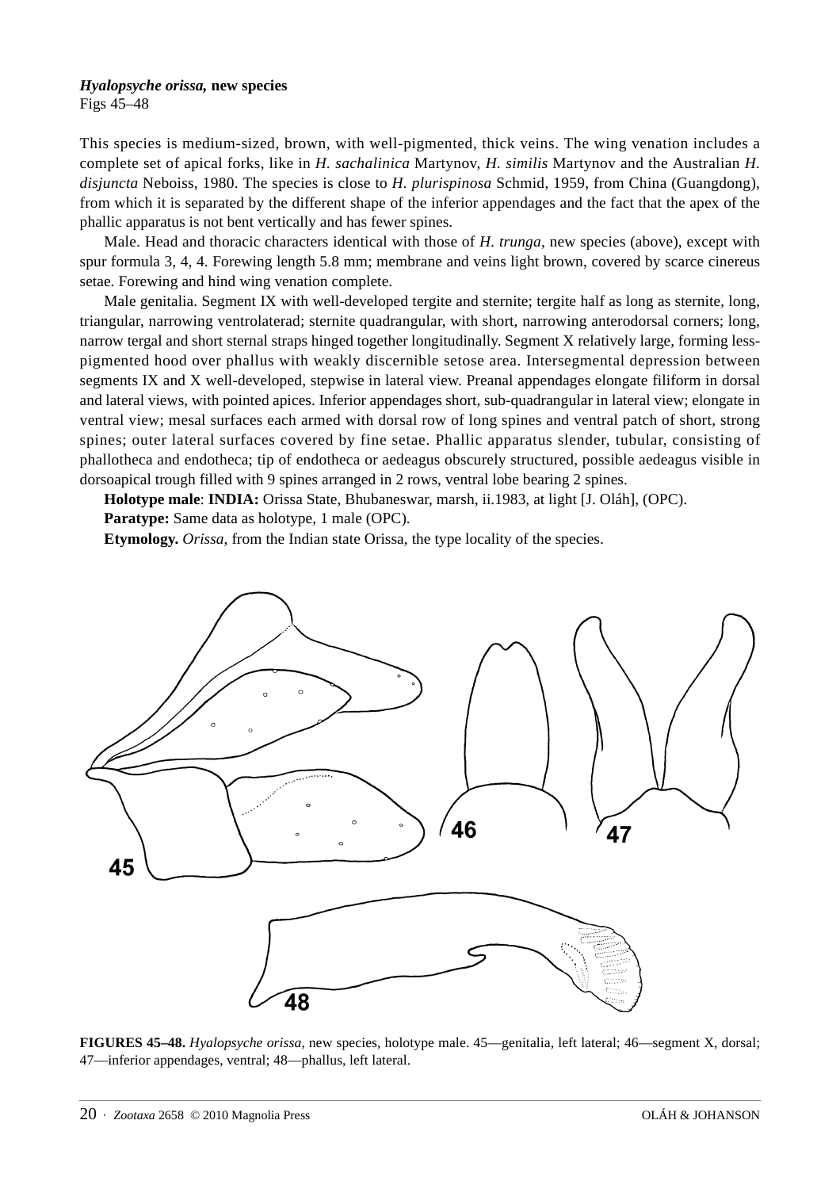#### *Hyalopsyche orissa,* **new species**

Figs 45–48

This species is medium-sized, brown, with well-pigmented, thick veins. The wing venation includes a complete set of apical forks, like in *H. sachalinica* Martynov, *H. similis* Martynov and the Australian *H. disjuncta* Neboiss, 1980. The species is close to *H. plurispinosa* Schmid, 1959, from China (Guangdong), from which it is separated by the different shape of the inferior appendages and the fact that the apex of the phallic apparatus is not bent vertically and has fewer spines.

Male. Head and thoracic characters identical with those of *H. trunga*, new species (above), except with spur formula 3, 4, 4. Forewing length 5.8 mm; membrane and veins light brown, covered by scarce cinereus setae. Forewing and hind wing venation complete.

Male genitalia. Segment IX with well-developed tergite and sternite; tergite half as long as sternite, long, triangular, narrowing ventrolaterad; sternite quadrangular, with short, narrowing anterodorsal corners; long, narrow tergal and short sternal straps hinged together longitudinally. Segment X relatively large, forming lesspigmented hood over phallus with weakly discernible setose area. Intersegmental depression between segments IX and X well-developed, stepwise in lateral view. Preanal appendages elongate filiform in dorsal and lateral views, with pointed apices. Inferior appendages short, sub-quadrangular in lateral view; elongate in ventral view; mesal surfaces each armed with dorsal row of long spines and ventral patch of short, strong spines; outer lateral surfaces covered by fine setae. Phallic apparatus slender, tubular, consisting of phallotheca and endotheca; tip of endotheca or aedeagus obscurely structured, possible aedeagus visible in dorsoapical trough filled with 9 spines arranged in 2 rows, ventral lobe bearing 2 spines.

**Holotype male**: **INDIA:** Orissa State, Bhubaneswar, marsh, ii.1983, at light [J. Oláh], (OPC).

**Paratype:** Same data as holotype, 1 male (OPC).

**Etymology.** *Orissa*, from the Indian state Orissa, the type locality of the species.



**FIGURES 45–48.** *Hyalopsyche orissa,* new species, holotype male. 45—genitalia, left lateral; 46—segment X, dorsal; 47—inferior appendages, ventral; 48—phallus, left lateral.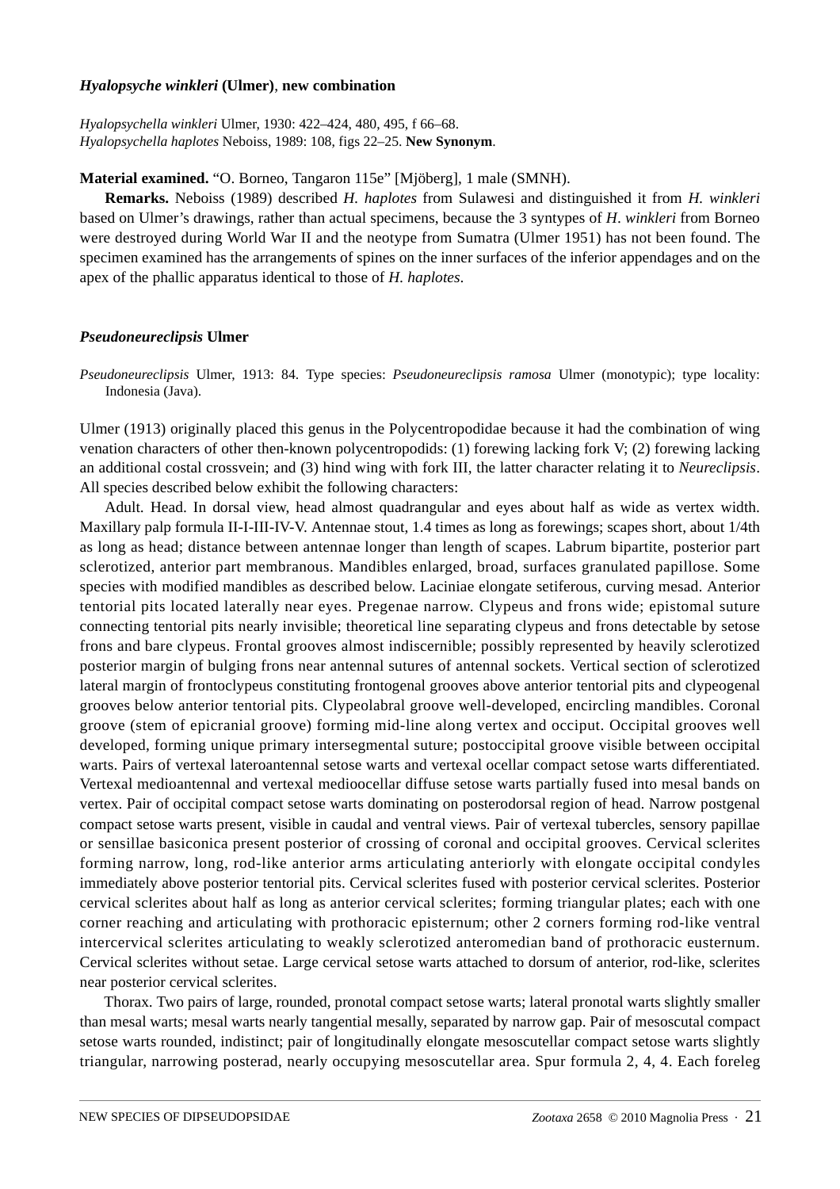#### *Hyalopsyche winkleri* **(Ulmer)**, **new combination**

*Hyalopsychella winkleri* Ulmer, 1930: 422–424, 480, 495, f 66–68. *Hyalopsychella haplotes* Neboiss, 1989: 108, figs 22–25. **New Synonym**.

**Material examined.** "O. Borneo, Tangaron 115e" [Mjöberg], 1 male (SMNH).

**Remarks.** Neboiss (1989) described *H. haplotes* from Sulawesi and distinguished it from *H. winkleri*  based on Ulmer's drawings, rather than actual specimens, because the 3 syntypes of *H*. *winkleri* from Borneo were destroyed during World War II and the neotype from Sumatra (Ulmer 1951) has not been found. The specimen examined has the arrangements of spines on the inner surfaces of the inferior appendages and on the apex of the phallic apparatus identical to those of *H. haplotes*.

## *Pseudoneureclipsis* **Ulmer**

*Pseudoneureclipsis* Ulmer, 1913: 84. Type species: *Pseudoneureclipsis ramosa* Ulmer (monotypic); type locality: Indonesia (Java).

Ulmer (1913) originally placed this genus in the Polycentropodidae because it had the combination of wing venation characters of other then-known polycentropodids: (1) forewing lacking fork V; (2) forewing lacking an additional costal crossvein; and (3) hind wing with fork III, the latter character relating it to *Neureclipsis*. All species described below exhibit the following characters:

Adult. Head. In dorsal view, head almost quadrangular and eyes about half as wide as vertex width. Maxillary palp formula II-I-III-IV-V. Antennae stout, 1.4 times as long as forewings; scapes short, about 1/4th as long as head; distance between antennae longer than length of scapes. Labrum bipartite, posterior part sclerotized, anterior part membranous. Mandibles enlarged, broad, surfaces granulated papillose. Some species with modified mandibles as described below. Laciniae elongate setiferous, curving mesad. Anterior tentorial pits located laterally near eyes. Pregenae narrow. Clypeus and frons wide; epistomal suture connecting tentorial pits nearly invisible; theoretical line separating clypeus and frons detectable by setose frons and bare clypeus. Frontal grooves almost indiscernible; possibly represented by heavily sclerotized posterior margin of bulging frons near antennal sutures of antennal sockets. Vertical section of sclerotized lateral margin of frontoclypeus constituting frontogenal grooves above anterior tentorial pits and clypeogenal grooves below anterior tentorial pits. Clypeolabral groove well-developed, encircling mandibles. Coronal groove (stem of epicranial groove) forming mid-line along vertex and occiput. Occipital grooves well developed, forming unique primary intersegmental suture; postoccipital groove visible between occipital warts. Pairs of vertexal lateroantennal setose warts and vertexal ocellar compact setose warts differentiated. Vertexal medioantennal and vertexal medioocellar diffuse setose warts partially fused into mesal bands on vertex. Pair of occipital compact setose warts dominating on posterodorsal region of head. Narrow postgenal compact setose warts present, visible in caudal and ventral views. Pair of vertexal tubercles, sensory papillae or sensillae basiconica present posterior of crossing of coronal and occipital grooves. Cervical sclerites forming narrow, long, rod-like anterior arms articulating anteriorly with elongate occipital condyles immediately above posterior tentorial pits. Cervical sclerites fused with posterior cervical sclerites. Posterior cervical sclerites about half as long as anterior cervical sclerites; forming triangular plates; each with one corner reaching and articulating with prothoracic episternum; other 2 corners forming rod-like ventral intercervical sclerites articulating to weakly sclerotized anteromedian band of prothoracic eusternum. Cervical sclerites without setae. Large cervical setose warts attached to dorsum of anterior, rod-like, sclerites near posterior cervical sclerites.

Thorax. Two pairs of large, rounded, pronotal compact setose warts; lateral pronotal warts slightly smaller than mesal warts; mesal warts nearly tangential mesally, separated by narrow gap. Pair of mesoscutal compact setose warts rounded, indistinct; pair of longitudinally elongate mesoscutellar compact setose warts slightly triangular, narrowing posterad, nearly occupying mesoscutellar area. Spur formula 2, 4, 4. Each foreleg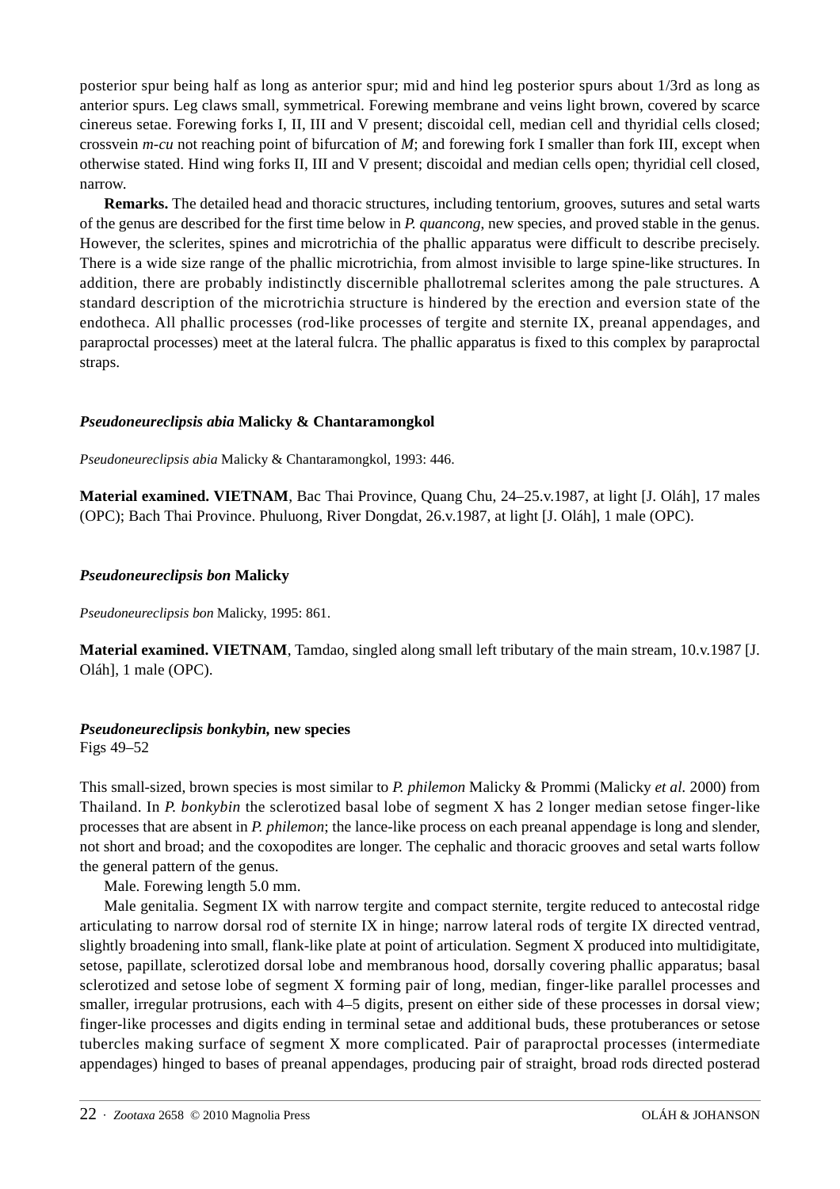posterior spur being half as long as anterior spur; mid and hind leg posterior spurs about 1/3rd as long as anterior spurs. Leg claws small, symmetrical. Forewing membrane and veins light brown, covered by scarce cinereus setae. Forewing forks I, II, III and V present; discoidal cell, median cell and thyridial cells closed; crossvein *m-cu* not reaching point of bifurcation of *M*; and forewing fork I smaller than fork III, except when otherwise stated. Hind wing forks II, III and V present; discoidal and median cells open; thyridial cell closed, narrow.

**Remarks.** The detailed head and thoracic structures, including tentorium, grooves, sutures and setal warts of the genus are described for the first time below in *P. quancong*, new species, and proved stable in the genus. However, the sclerites, spines and microtrichia of the phallic apparatus were difficult to describe precisely. There is a wide size range of the phallic microtrichia, from almost invisible to large spine-like structures. In addition, there are probably indistinctly discernible phallotremal sclerites among the pale structures. A standard description of the microtrichia structure is hindered by the erection and eversion state of the endotheca. All phallic processes (rod-like processes of tergite and sternite IX, preanal appendages, and paraproctal processes) meet at the lateral fulcra. The phallic apparatus is fixed to this complex by paraproctal straps.

## *Pseudoneureclipsis abia* **Malicky & Chantaramongkol**

*Pseudoneureclipsis abia* Malicky & Chantaramongkol, 1993: 446.

**Material examined. VIETNAM**, Bac Thai Province, Quang Chu, 24–25.v.1987, at light [J. Oláh], 17 males (OPC); Bach Thai Province. Phuluong, River Dongdat, 26.v.1987, at light [J. Oláh], 1 male (OPC).

#### *Pseudoneureclipsis bon* **Malicky**

*Pseudoneureclipsis bon* Malicky, 1995: 861.

**Material examined. VIETNAM**, Tamdao, singled along small left tributary of the main stream, 10.v.1987 [J. Oláh], 1 male (OPC).

## *Pseudoneureclipsis bonkybin,* **new species**

Figs 49–52

This small-sized, brown species is most similar to *P. philemon* Malicky & Prommi (Malicky *et al.* 2000) from Thailand. In *P. bonkybin* the sclerotized basal lobe of segment X has 2 longer median setose finger-like processes that are absent in *P. philemon*; the lance-like process on each preanal appendage is long and slender, not short and broad; and the coxopodites are longer. The cephalic and thoracic grooves and setal warts follow the general pattern of the genus.

Male. Forewing length 5.0 mm.

Male genitalia. Segment IX with narrow tergite and compact sternite, tergite reduced to antecostal ridge articulating to narrow dorsal rod of sternite IX in hinge; narrow lateral rods of tergite IX directed ventrad, slightly broadening into small, flank-like plate at point of articulation. Segment X produced into multidigitate, setose, papillate, sclerotized dorsal lobe and membranous hood, dorsally covering phallic apparatus; basal sclerotized and setose lobe of segment X forming pair of long, median, finger-like parallel processes and smaller, irregular protrusions, each with 4–5 digits, present on either side of these processes in dorsal view; finger-like processes and digits ending in terminal setae and additional buds, these protuberances or setose tubercles making surface of segment X more complicated. Pair of paraproctal processes (intermediate appendages) hinged to bases of preanal appendages, producing pair of straight, broad rods directed posterad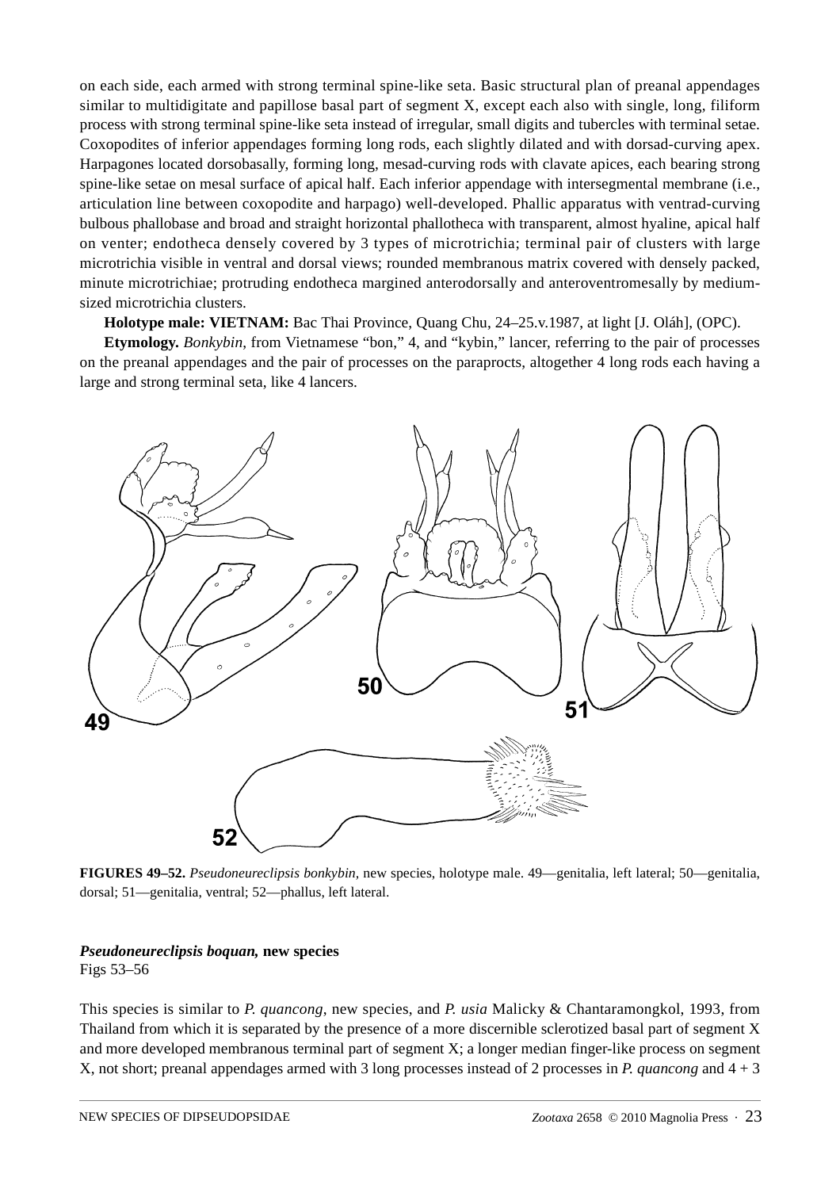on each side, each armed with strong terminal spine-like seta. Basic structural plan of preanal appendages similar to multidigitate and papillose basal part of segment X, except each also with single, long, filiform process with strong terminal spine-like seta instead of irregular, small digits and tubercles with terminal setae. Coxopodites of inferior appendages forming long rods, each slightly dilated and with dorsad-curving apex. Harpagones located dorsobasally, forming long, mesad-curving rods with clavate apices, each bearing strong spine-like setae on mesal surface of apical half. Each inferior appendage with intersegmental membrane (i.e., articulation line between coxopodite and harpago) well-developed. Phallic apparatus with ventrad-curving bulbous phallobase and broad and straight horizontal phallotheca with transparent, almost hyaline, apical half on venter; endotheca densely covered by 3 types of microtrichia; terminal pair of clusters with large microtrichia visible in ventral and dorsal views; rounded membranous matrix covered with densely packed, minute microtrichiae; protruding endotheca margined anterodorsally and anteroventromesally by mediumsized microtrichia clusters.

**Holotype male: VIETNAM:** Bac Thai Province, Quang Chu, 24–25.v.1987, at light [J. Oláh], (OPC).

**Etymology.** *Bonkybin*, from Vietnamese "bon," 4, and "kybin," lancer, referring to the pair of processes on the preanal appendages and the pair of processes on the paraprocts, altogether 4 long rods each having a large and strong terminal seta, like 4 lancers.



**FIGURES 49–52.** *Pseudoneureclipsis bonkybin,* new species, holotype male. 49—genitalia, left lateral; 50—genitalia, dorsal; 51—genitalia, ventral; 52—phallus, left lateral.

## *Pseudoneureclipsis boquan,* **new species**

Figs 53–56

This species is similar to *P. quancong*, new species, and *P. usia* Malicky & Chantaramongkol, 1993, from Thailand from which it is separated by the presence of a more discernible sclerotized basal part of segment X and more developed membranous terminal part of segment X; a longer median finger-like process on segment X, not short; preanal appendages armed with 3 long processes instead of 2 processes in *P. quancong* and 4 + 3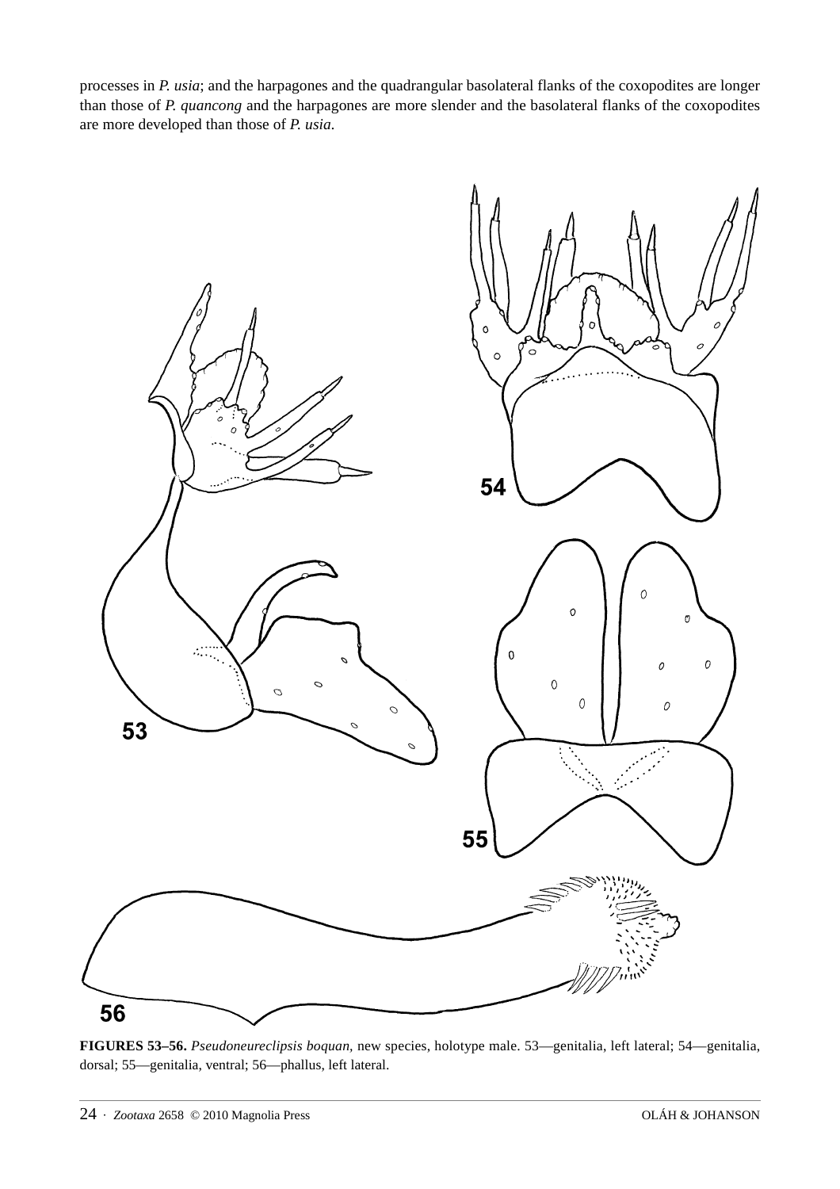processes in *P. usia*; and the harpagones and the quadrangular basolateral flanks of the coxopodites are longer than those of *P. quancong* and the harpagones are more slender and the basolateral flanks of the coxopodites are more developed than those of *P. usia*.



**FIGURES 53–56.** *Pseudoneureclipsis boquan,* new species, holotype male. 53—genitalia, left lateral; 54—genitalia, dorsal; 55—genitalia, ventral; 56—phallus, left lateral.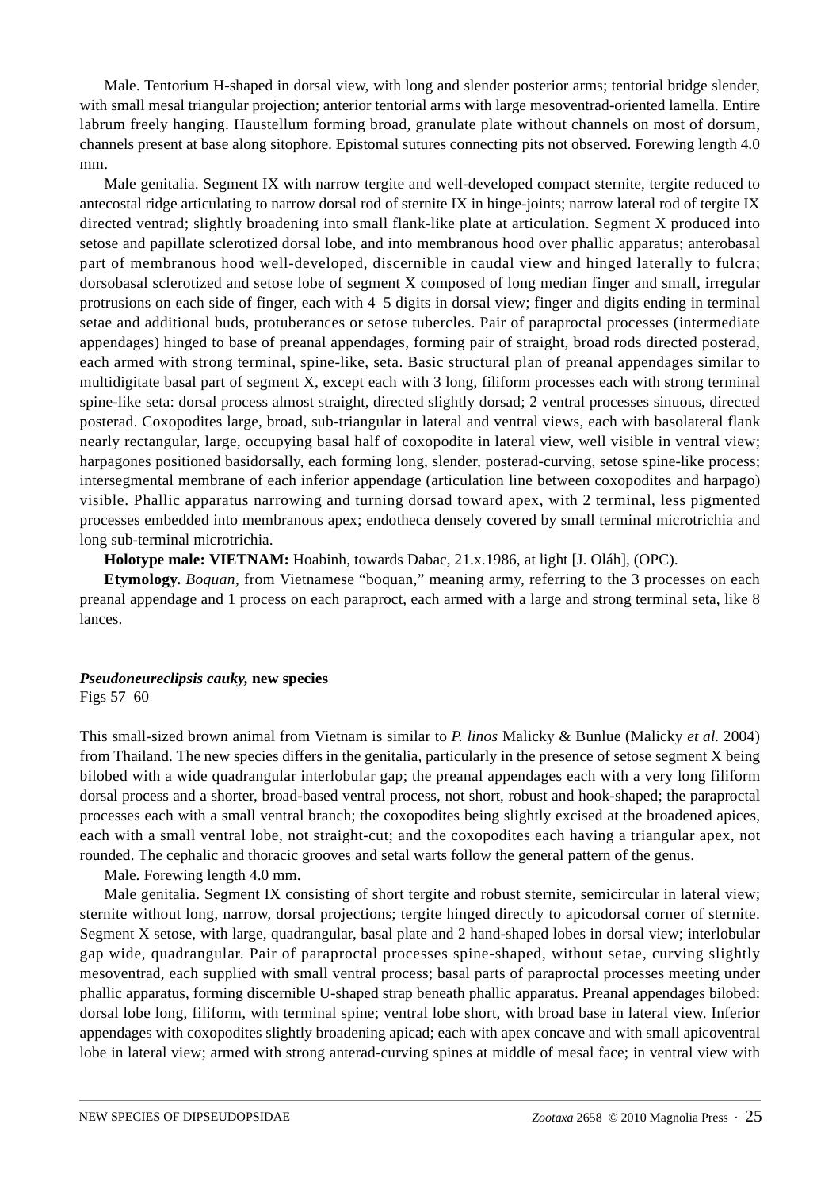Male. Tentorium H-shaped in dorsal view, with long and slender posterior arms; tentorial bridge slender, with small mesal triangular projection; anterior tentorial arms with large mesoventrad-oriented lamella. Entire labrum freely hanging. Haustellum forming broad, granulate plate without channels on most of dorsum, channels present at base along sitophore. Epistomal sutures connecting pits not observed. Forewing length 4.0 mm.

Male genitalia. Segment IX with narrow tergite and well-developed compact sternite, tergite reduced to antecostal ridge articulating to narrow dorsal rod of sternite IX in hinge-joints; narrow lateral rod of tergite IX directed ventrad; slightly broadening into small flank-like plate at articulation. Segment X produced into setose and papillate sclerotized dorsal lobe, and into membranous hood over phallic apparatus; anterobasal part of membranous hood well-developed, discernible in caudal view and hinged laterally to fulcra; dorsobasal sclerotized and setose lobe of segment X composed of long median finger and small, irregular protrusions on each side of finger, each with 4–5 digits in dorsal view; finger and digits ending in terminal setae and additional buds, protuberances or setose tubercles. Pair of paraproctal processes (intermediate appendages) hinged to base of preanal appendages, forming pair of straight, broad rods directed posterad, each armed with strong terminal, spine-like, seta. Basic structural plan of preanal appendages similar to multidigitate basal part of segment X, except each with 3 long, filiform processes each with strong terminal spine-like seta: dorsal process almost straight, directed slightly dorsad; 2 ventral processes sinuous, directed posterad. Coxopodites large, broad, sub-triangular in lateral and ventral views, each with basolateral flank nearly rectangular, large, occupying basal half of coxopodite in lateral view, well visible in ventral view; harpagones positioned basidorsally, each forming long, slender, posterad-curving, setose spine-like process; intersegmental membrane of each inferior appendage (articulation line between coxopodites and harpago) visible. Phallic apparatus narrowing and turning dorsad toward apex, with 2 terminal, less pigmented processes embedded into membranous apex; endotheca densely covered by small terminal microtrichia and long sub-terminal microtrichia.

**Holotype male: VIETNAM:** Hoabinh, towards Dabac, 21.x.1986, at light [J. Oláh], (OPC).

**Etymology.** *Boquan*, from Vietnamese "boquan," meaning army, referring to the 3 processes on each preanal appendage and 1 process on each paraproct, each armed with a large and strong terminal seta, like 8 lances.

#### *Pseudoneureclipsis cauky,* **new species** Figs 57–60

This small-sized brown animal from Vietnam is similar to *P. linos* Malicky & Bunlue (Malicky *et al.* 2004) from Thailand. The new species differs in the genitalia, particularly in the presence of setose segment X being bilobed with a wide quadrangular interlobular gap; the preanal appendages each with a very long filiform dorsal process and a shorter, broad-based ventral process, not short, robust and hook-shaped; the paraproctal processes each with a small ventral branch; the coxopodites being slightly excised at the broadened apices, each with a small ventral lobe, not straight-cut; and the coxopodites each having a triangular apex, not rounded. The cephalic and thoracic grooves and setal warts follow the general pattern of the genus.

Male. Forewing length 4.0 mm.

Male genitalia. Segment IX consisting of short tergite and robust sternite, semicircular in lateral view; sternite without long, narrow, dorsal projections; tergite hinged directly to apicodorsal corner of sternite. Segment X setose, with large, quadrangular, basal plate and 2 hand-shaped lobes in dorsal view; interlobular gap wide, quadrangular. Pair of paraproctal processes spine-shaped, without setae, curving slightly mesoventrad, each supplied with small ventral process; basal parts of paraproctal processes meeting under phallic apparatus, forming discernible U-shaped strap beneath phallic apparatus. Preanal appendages bilobed: dorsal lobe long, filiform, with terminal spine; ventral lobe short, with broad base in lateral view. Inferior appendages with coxopodites slightly broadening apicad; each with apex concave and with small apicoventral lobe in lateral view; armed with strong anterad-curving spines at middle of mesal face; in ventral view with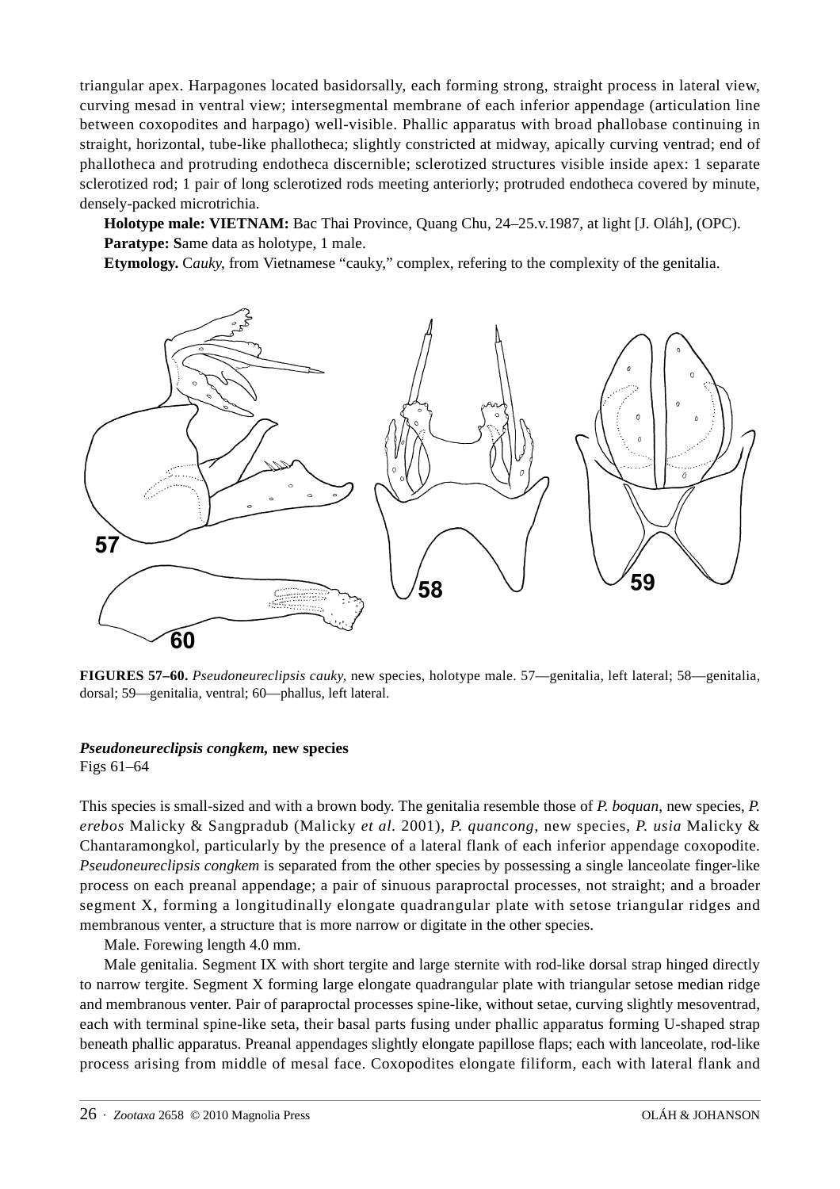triangular apex. Harpagones located basidorsally, each forming strong, straight process in lateral view, curving mesad in ventral view; intersegmental membrane of each inferior appendage (articulation line between coxopodites and harpago) well-visible. Phallic apparatus with broad phallobase continuing in straight, horizontal, tube-like phallotheca; slightly constricted at midway, apically curving ventrad; end of phallotheca and protruding endotheca discernible; sclerotized structures visible inside apex: 1 separate sclerotized rod; 1 pair of long sclerotized rods meeting anteriorly; protruded endotheca covered by minute, densely-packed microtrichia.

**Holotype male: VIETNAM:** Bac Thai Province, Quang Chu, 24–25.v.1987, at light [J. Oláh], (OPC). **Paratype: S**ame data as holotype, 1 male.

**Etymology.** C*auky*, from Vietnamese "cauky," complex, refering to the complexity of the genitalia.



**FIGURES 57–60.** *Pseudoneureclipsis cauky,* new species, holotype male. 57—genitalia, left lateral; 58—genitalia, dorsal; 59—genitalia, ventral; 60—phallus, left lateral.

## *Pseudoneureclipsis congkem,* **new species**

Figs 61–64

This species is small-sized and with a brown body. The genitalia resemble those of *P. boquan*, new species, *P. erebos* Malicky & Sangpradub (Malicky *et al.* 2001), *P. quancong*, new species, *P. usia* Malicky & Chantaramongkol, particularly by the presence of a lateral flank of each inferior appendage coxopodite. *Pseudoneureclipsis congkem* is separated from the other species by possessing a single lanceolate finger-like process on each preanal appendage; a pair of sinuous paraproctal processes, not straight; and a broader segment X, forming a longitudinally elongate quadrangular plate with setose triangular ridges and membranous venter, a structure that is more narrow or digitate in the other species.

Male. Forewing length 4.0 mm.

Male genitalia. Segment IX with short tergite and large sternite with rod-like dorsal strap hinged directly to narrow tergite. Segment X forming large elongate quadrangular plate with triangular setose median ridge and membranous venter. Pair of paraproctal processes spine-like, without setae, curving slightly mesoventrad, each with terminal spine-like seta, their basal parts fusing under phallic apparatus forming U-shaped strap beneath phallic apparatus. Preanal appendages slightly elongate papillose flaps; each with lanceolate, rod-like process arising from middle of mesal face. Coxopodites elongate filiform, each with lateral flank and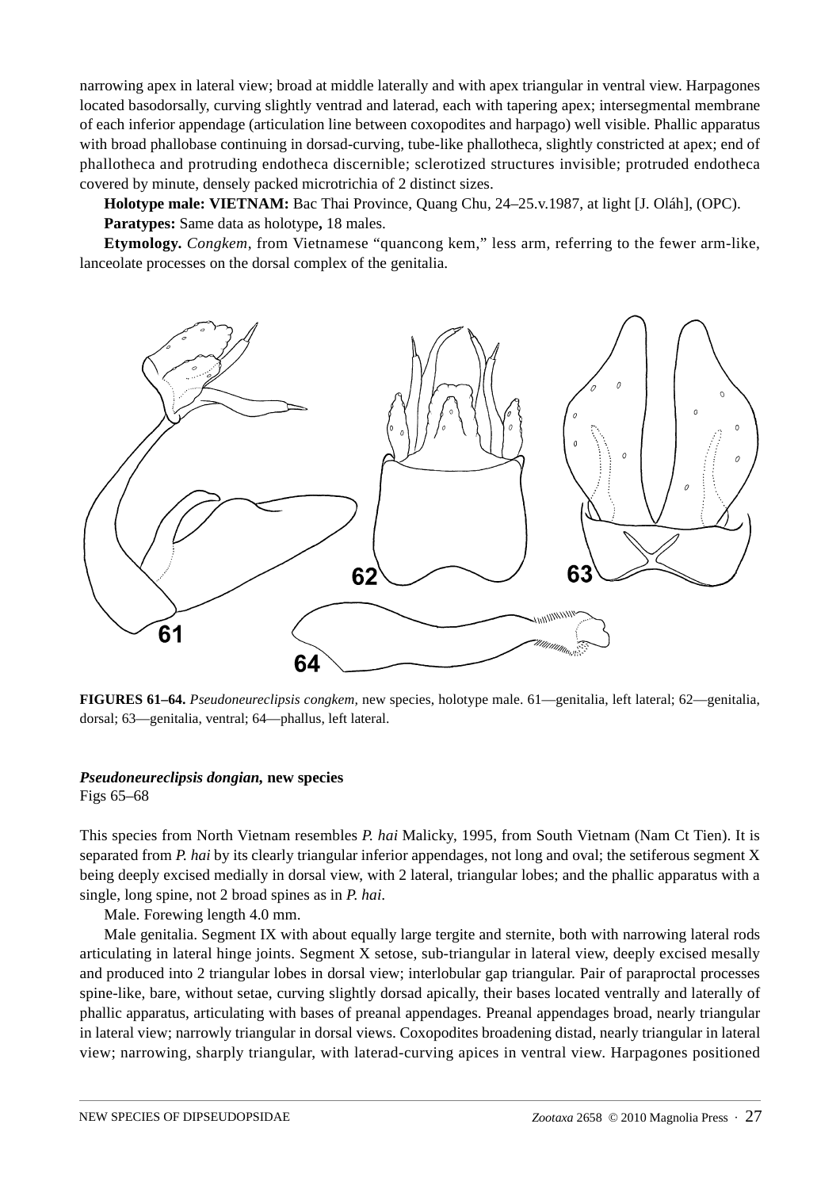narrowing apex in lateral view; broad at middle laterally and with apex triangular in ventral view. Harpagones located basodorsally, curving slightly ventrad and laterad, each with tapering apex; intersegmental membrane of each inferior appendage (articulation line between coxopodites and harpago) well visible. Phallic apparatus with broad phallobase continuing in dorsad-curving, tube-like phallotheca, slightly constricted at apex; end of phallotheca and protruding endotheca discernible; sclerotized structures invisible; protruded endotheca covered by minute, densely packed microtrichia of 2 distinct sizes.

**Holotype male: VIETNAM:** Bac Thai Province, Quang Chu, 24–25.v.1987, at light [J. Oláh], (OPC). **Paratypes:** Same data as holotype**,** 18 males.

**Etymology.** *Congkem*, from Vietnamese "quancong kem," less arm, referring to the fewer arm-like, lanceolate processes on the dorsal complex of the genitalia.



**FIGURES 61–64.** *Pseudoneureclipsis congkem,* new species, holotype male. 61—genitalia, left lateral; 62—genitalia, dorsal; 63—genitalia, ventral; 64—phallus, left lateral.

#### *Pseudoneureclipsis dongian,* **new species**

Figs 65–68

This species from North Vietnam resembles *P. hai* Malicky, 1995, from South Vietnam (Nam Ct Tien). It is separated from *P. hai* by its clearly triangular inferior appendages, not long and oval; the setiferous segment X being deeply excised medially in dorsal view, with 2 lateral, triangular lobes; and the phallic apparatus with a single, long spine, not 2 broad spines as in *P. hai*.

Male. Forewing length 4.0 mm.

Male genitalia. Segment IX with about equally large tergite and sternite, both with narrowing lateral rods articulating in lateral hinge joints. Segment X setose, sub-triangular in lateral view, deeply excised mesally and produced into 2 triangular lobes in dorsal view; interlobular gap triangular. Pair of paraproctal processes spine-like, bare, without setae, curving slightly dorsad apically, their bases located ventrally and laterally of phallic apparatus, articulating with bases of preanal appendages. Preanal appendages broad, nearly triangular in lateral view; narrowly triangular in dorsal views. Coxopodites broadening distad, nearly triangular in lateral view; narrowing, sharply triangular, with laterad-curving apices in ventral view. Harpagones positioned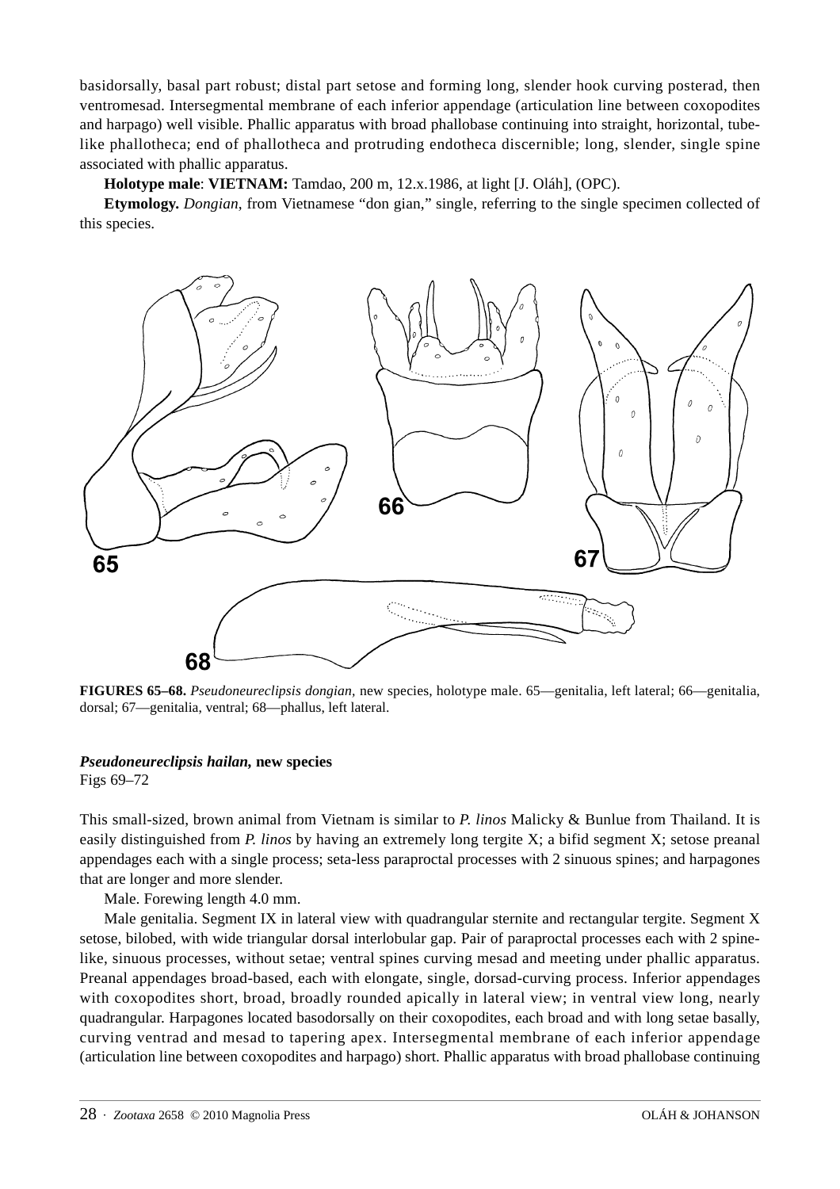basidorsally, basal part robust; distal part setose and forming long, slender hook curving posterad, then ventromesad. Intersegmental membrane of each inferior appendage (articulation line between coxopodites and harpago) well visible. Phallic apparatus with broad phallobase continuing into straight, horizontal, tubelike phallotheca; end of phallotheca and protruding endotheca discernible; long, slender, single spine associated with phallic apparatus.

**Holotype male**: **VIETNAM:** Tamdao, 200 m, 12.x.1986, at light [J. Oláh], (OPC).

**Etymology.** *Dongian*, from Vietnamese "don gian," single, referring to the single specimen collected of this species.



**FIGURES 65–68.** *Pseudoneureclipsis dongian,* new species, holotype male. 65—genitalia, left lateral; 66—genitalia, dorsal; 67—genitalia, ventral; 68—phallus, left lateral.

## *Pseudoneureclipsis hailan,* **new species**

Figs 69–72

This small-sized, brown animal from Vietnam is similar to *P. linos* Malicky & Bunlue from Thailand. It is easily distinguished from *P. linos* by having an extremely long tergite X; a bifid segment X; setose preanal appendages each with a single process; seta-less paraproctal processes with 2 sinuous spines; and harpagones that are longer and more slender.

Male. Forewing length 4.0 mm.

Male genitalia. Segment IX in lateral view with quadrangular sternite and rectangular tergite. Segment X setose, bilobed, with wide triangular dorsal interlobular gap. Pair of paraproctal processes each with 2 spinelike, sinuous processes, without setae; ventral spines curving mesad and meeting under phallic apparatus. Preanal appendages broad-based, each with elongate, single, dorsad-curving process. Inferior appendages with coxopodites short, broad, broadly rounded apically in lateral view; in ventral view long, nearly quadrangular. Harpagones located basodorsally on their coxopodites, each broad and with long setae basally, curving ventrad and mesad to tapering apex. Intersegmental membrane of each inferior appendage (articulation line between coxopodites and harpago) short. Phallic apparatus with broad phallobase continuing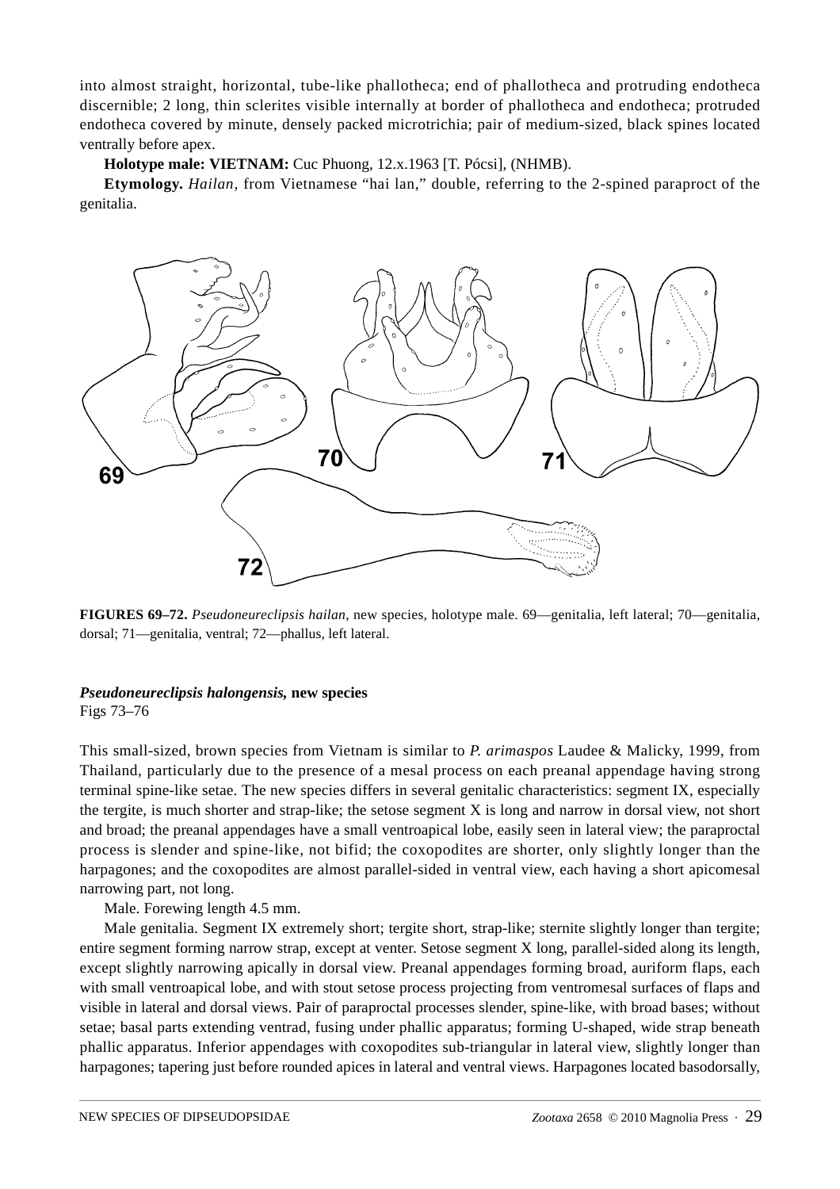into almost straight, horizontal, tube-like phallotheca; end of phallotheca and protruding endotheca discernible; 2 long, thin sclerites visible internally at border of phallotheca and endotheca; protruded endotheca covered by minute, densely packed microtrichia; pair of medium-sized, black spines located ventrally before apex.

**Holotype male: VIETNAM:** Cuc Phuong, 12.x.1963 [T. Pócsi], (NHMB).

**Etymology.** *Hailan*, from Vietnamese "hai lan," double, referring to the 2-spined paraproct of the genitalia.



**FIGURES 69–72.** *Pseudoneureclipsis hailan,* new species, holotype male. 69—genitalia, left lateral; 70—genitalia, dorsal; 71—genitalia, ventral; 72—phallus, left lateral.

## *Pseudoneureclipsis halongensis,* **new species**

Figs 73–76

This small-sized, brown species from Vietnam is similar to *P. arimaspos* Laudee & Malicky, 1999, from Thailand, particularly due to the presence of a mesal process on each preanal appendage having strong terminal spine-like setae. The new species differs in several genitalic characteristics: segment IX, especially the tergite, is much shorter and strap-like; the setose segment X is long and narrow in dorsal view, not short and broad; the preanal appendages have a small ventroapical lobe, easily seen in lateral view; the paraproctal process is slender and spine-like, not bifid; the coxopodites are shorter, only slightly longer than the harpagones; and the coxopodites are almost parallel-sided in ventral view, each having a short apicomesal narrowing part, not long.

Male. Forewing length 4.5 mm.

Male genitalia. Segment IX extremely short; tergite short, strap-like; sternite slightly longer than tergite; entire segment forming narrow strap, except at venter. Setose segment X long, parallel-sided along its length, except slightly narrowing apically in dorsal view. Preanal appendages forming broad, auriform flaps, each with small ventroapical lobe, and with stout setose process projecting from ventromesal surfaces of flaps and visible in lateral and dorsal views. Pair of paraproctal processes slender, spine-like, with broad bases; without setae; basal parts extending ventrad, fusing under phallic apparatus; forming U-shaped, wide strap beneath phallic apparatus. Inferior appendages with coxopodites sub-triangular in lateral view, slightly longer than harpagones; tapering just before rounded apices in lateral and ventral views. Harpagones located basodorsally,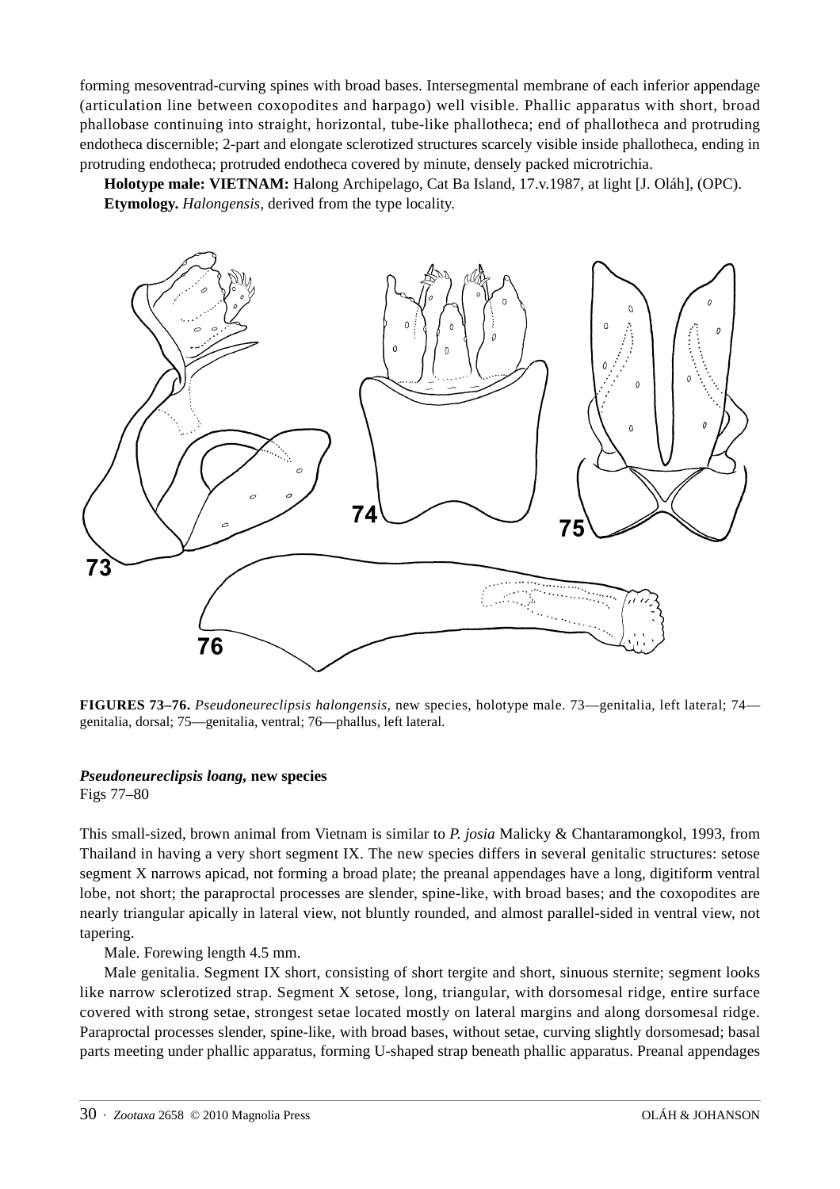forming mesoventrad-curving spines with broad bases. Intersegmental membrane of each inferior appendage (articulation line between coxopodites and harpago) well visible. Phallic apparatus with short, broad phallobase continuing into straight, horizontal, tube-like phallotheca; end of phallotheca and protruding endotheca discernible; 2-part and elongate sclerotized structures scarcely visible inside phallotheca, ending in protruding endotheca; protruded endotheca covered by minute, densely packed microtrichia.

**Holotype male: VIETNAM:** Halong Archipelago, Cat Ba Island, 17.v.1987, at light [J. Oláh], (OPC). **Etymology.** *Halongensis*, derived from the type locality.



**FIGURES 73–76.** *Pseudoneureclipsis halongensis,* new species, holotype male. 73—genitalia, left lateral; 74 genitalia, dorsal; 75—genitalia, ventral; 76—phallus, left lateral.

#### *Pseudoneureclipsis loang,* **new species**

Figs 77–80

This small-sized, brown animal from Vietnam is similar to *P. josia* Malicky & Chantaramongkol, 1993, from Thailand in having a very short segment IX. The new species differs in several genitalic structures: setose segment X narrows apicad, not forming a broad plate; the preanal appendages have a long, digitiform ventral lobe, not short; the paraproctal processes are slender, spine-like, with broad bases; and the coxopodites are nearly triangular apically in lateral view, not bluntly rounded, and almost parallel-sided in ventral view, not tapering.

Male. Forewing length 4.5 mm.

Male genitalia. Segment IX short, consisting of short tergite and short, sinuous sternite; segment looks like narrow sclerotized strap. Segment X setose, long, triangular, with dorsomesal ridge, entire surface covered with strong setae, strongest setae located mostly on lateral margins and along dorsomesal ridge. Paraproctal processes slender, spine-like, with broad bases, without setae, curving slightly dorsomesad; basal parts meeting under phallic apparatus, forming U-shaped strap beneath phallic apparatus. Preanal appendages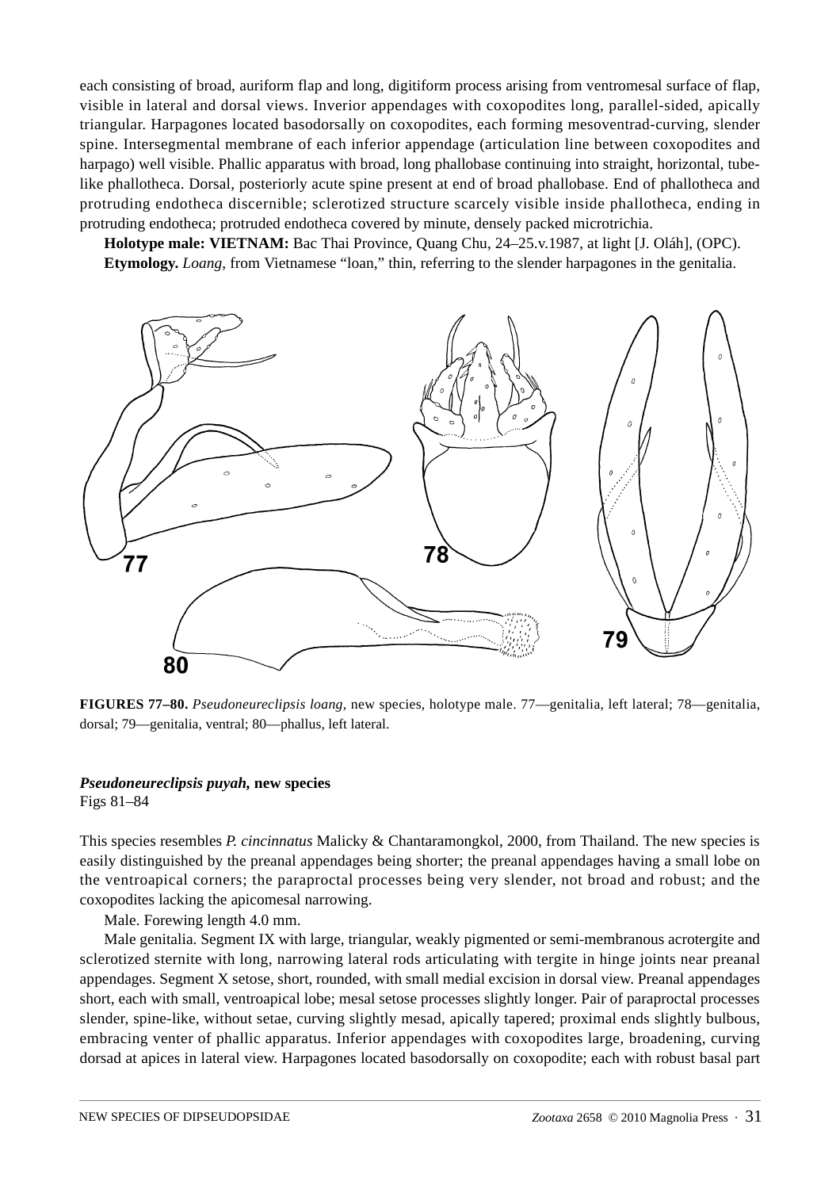each consisting of broad, auriform flap and long, digitiform process arising from ventromesal surface of flap, visible in lateral and dorsal views. Inverior appendages with coxopodites long, parallel-sided, apically triangular. Harpagones located basodorsally on coxopodites, each forming mesoventrad-curving, slender spine. Intersegmental membrane of each inferior appendage (articulation line between coxopodites and harpago) well visible. Phallic apparatus with broad, long phallobase continuing into straight, horizontal, tubelike phallotheca. Dorsal, posteriorly acute spine present at end of broad phallobase. End of phallotheca and protruding endotheca discernible; sclerotized structure scarcely visible inside phallotheca, ending in protruding endotheca; protruded endotheca covered by minute, densely packed microtrichia.

**Holotype male: VIETNAM:** Bac Thai Province, Quang Chu, 24–25.v.1987, at light [J. Oláh], (OPC). **Etymology.** *Loang*, from Vietnamese "loan," thin, referring to the slender harpagones in the genitalia.



**FIGURES 77–80.** *Pseudoneureclipsis loang,* new species, holotype male. 77—genitalia, left lateral; 78—genitalia, dorsal; 79—genitalia, ventral; 80—phallus, left lateral.

#### *Pseudoneureclipsis puyah,* **new species**

Figs 81–84

This species resembles *P. cincinnatus* Malicky & Chantaramongkol, 2000, from Thailand. The new species is easily distinguished by the preanal appendages being shorter; the preanal appendages having a small lobe on the ventroapical corners; the paraproctal processes being very slender, not broad and robust; and the coxopodites lacking the apicomesal narrowing.

Male. Forewing length 4.0 mm.

Male genitalia. Segment IX with large, triangular, weakly pigmented or semi-membranous acrotergite and sclerotized sternite with long, narrowing lateral rods articulating with tergite in hinge joints near preanal appendages. Segment X setose, short, rounded, with small medial excision in dorsal view. Preanal appendages short, each with small, ventroapical lobe; mesal setose processes slightly longer. Pair of paraproctal processes slender, spine-like, without setae, curving slightly mesad, apically tapered; proximal ends slightly bulbous, embracing venter of phallic apparatus. Inferior appendages with coxopodites large, broadening, curving dorsad at apices in lateral view. Harpagones located basodorsally on coxopodite; each with robust basal part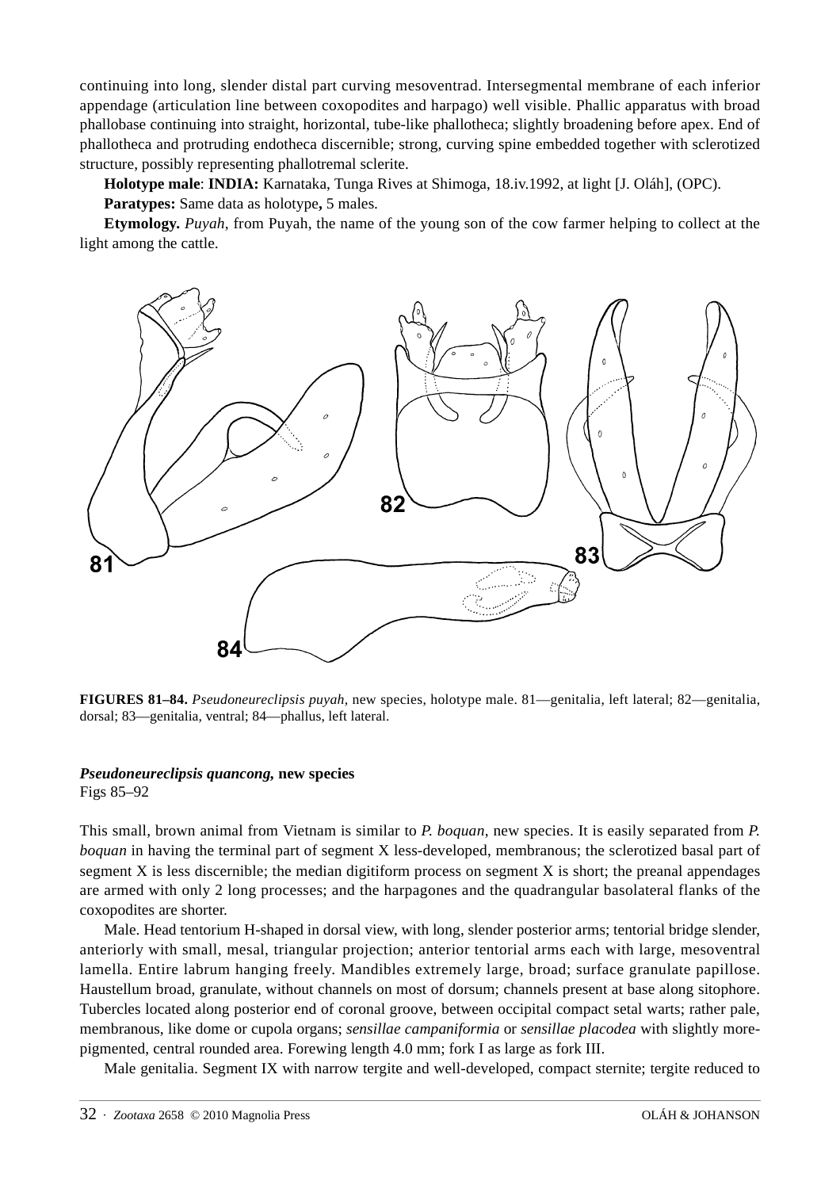continuing into long, slender distal part curving mesoventrad. Intersegmental membrane of each inferior appendage (articulation line between coxopodites and harpago) well visible. Phallic apparatus with broad phallobase continuing into straight, horizontal, tube-like phallotheca; slightly broadening before apex. End of phallotheca and protruding endotheca discernible; strong, curving spine embedded together with sclerotized structure, possibly representing phallotremal sclerite.

**Holotype male**: **INDIA:** Karnataka, Tunga Rives at Shimoga, 18.iv.1992, at light [J. Oláh], (OPC).

**Paratypes:** Same data as holotype**,** 5 males.

**Etymology.** *Puyah*, from Puyah, the name of the young son of the cow farmer helping to collect at the light among the cattle.



**FIGURES 81–84.** *Pseudoneureclipsis puyah,* new species, holotype male. 81—genitalia, left lateral; 82—genitalia, dorsal; 83—genitalia, ventral; 84—phallus, left lateral.

## *Pseudoneureclipsis quancong,* **new species**

Figs 85–92

This small, brown animal from Vietnam is similar to *P. boquan*, new species. It is easily separated from *P. boquan* in having the terminal part of segment X less-developed, membranous; the sclerotized basal part of segment X is less discernible; the median digitiform process on segment X is short; the preanal appendages are armed with only 2 long processes; and the harpagones and the quadrangular basolateral flanks of the coxopodites are shorter.

Male. Head tentorium H-shaped in dorsal view, with long, slender posterior arms; tentorial bridge slender, anteriorly with small, mesal, triangular projection; anterior tentorial arms each with large, mesoventral lamella. Entire labrum hanging freely. Mandibles extremely large, broad; surface granulate papillose. Haustellum broad, granulate, without channels on most of dorsum; channels present at base along sitophore. Tubercles located along posterior end of coronal groove, between occipital compact setal warts; rather pale, membranous, like dome or cupola organs; *sensillae campaniformia* or *sensillae placodea* with slightly morepigmented, central rounded area. Forewing length 4.0 mm; fork I as large as fork III.

Male genitalia. Segment IX with narrow tergite and well-developed, compact sternite; tergite reduced to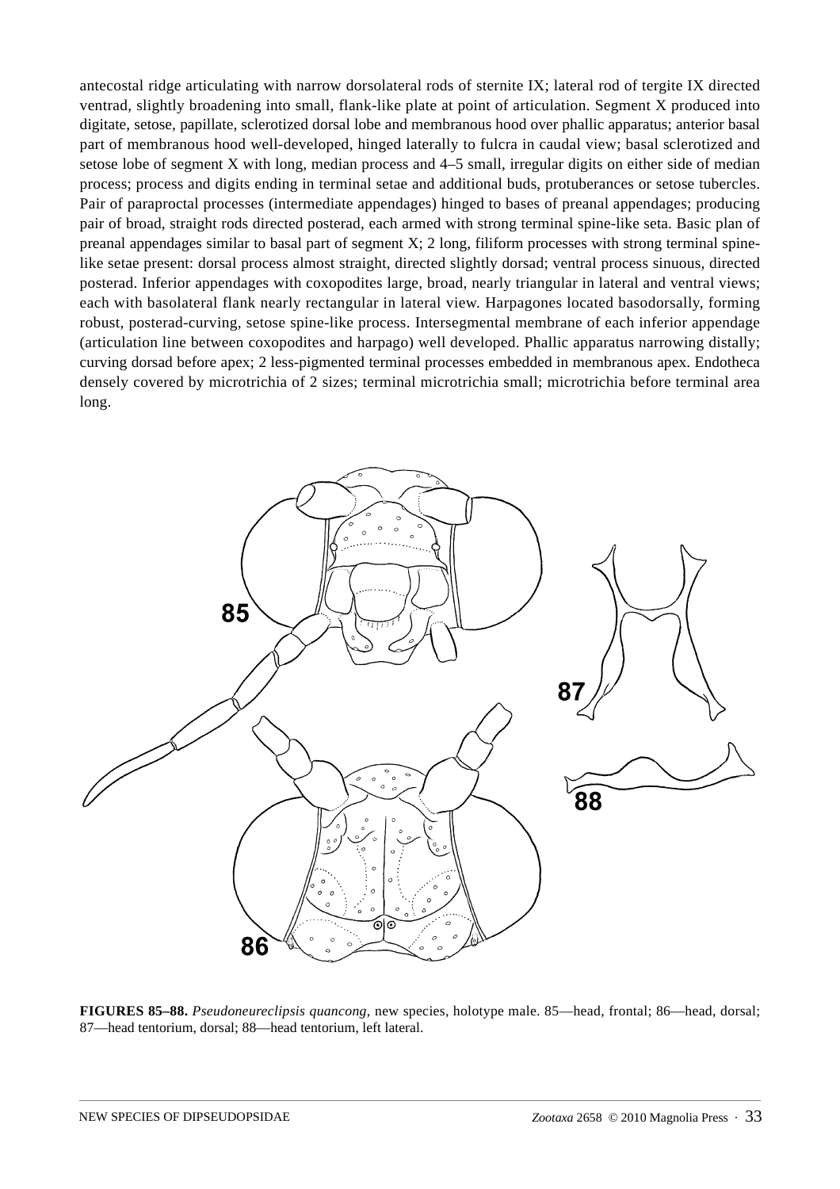antecostal ridge articulating with narrow dorsolateral rods of sternite IX; lateral rod of tergite IX directed ventrad, slightly broadening into small, flank-like plate at point of articulation. Segment X produced into digitate, setose, papillate, sclerotized dorsal lobe and membranous hood over phallic apparatus; anterior basal part of membranous hood well-developed, hinged laterally to fulcra in caudal view; basal sclerotized and setose lobe of segment X with long, median process and 4–5 small, irregular digits on either side of median process; process and digits ending in terminal setae and additional buds, protuberances or setose tubercles. Pair of paraproctal processes (intermediate appendages) hinged to bases of preanal appendages; producing pair of broad, straight rods directed posterad, each armed with strong terminal spine-like seta. Basic plan of preanal appendages similar to basal part of segment X; 2 long, filiform processes with strong terminal spinelike setae present: dorsal process almost straight, directed slightly dorsad; ventral process sinuous, directed posterad. Inferior appendages with coxopodites large, broad, nearly triangular in lateral and ventral views; each with basolateral flank nearly rectangular in lateral view. Harpagones located basodorsally, forming robust, posterad-curving, setose spine-like process. Intersegmental membrane of each inferior appendage (articulation line between coxopodites and harpago) well developed. Phallic apparatus narrowing distally; curving dorsad before apex; 2 less-pigmented terminal processes embedded in membranous apex. Endotheca densely covered by microtrichia of 2 sizes; terminal microtrichia small; microtrichia before terminal area long.



**FIGURES 85–88.** *Pseudoneureclipsis quancong,* new species, holotype male. 85—head, frontal; 86—head, dorsal; 87—head tentorium, dorsal; 88—head tentorium, left lateral.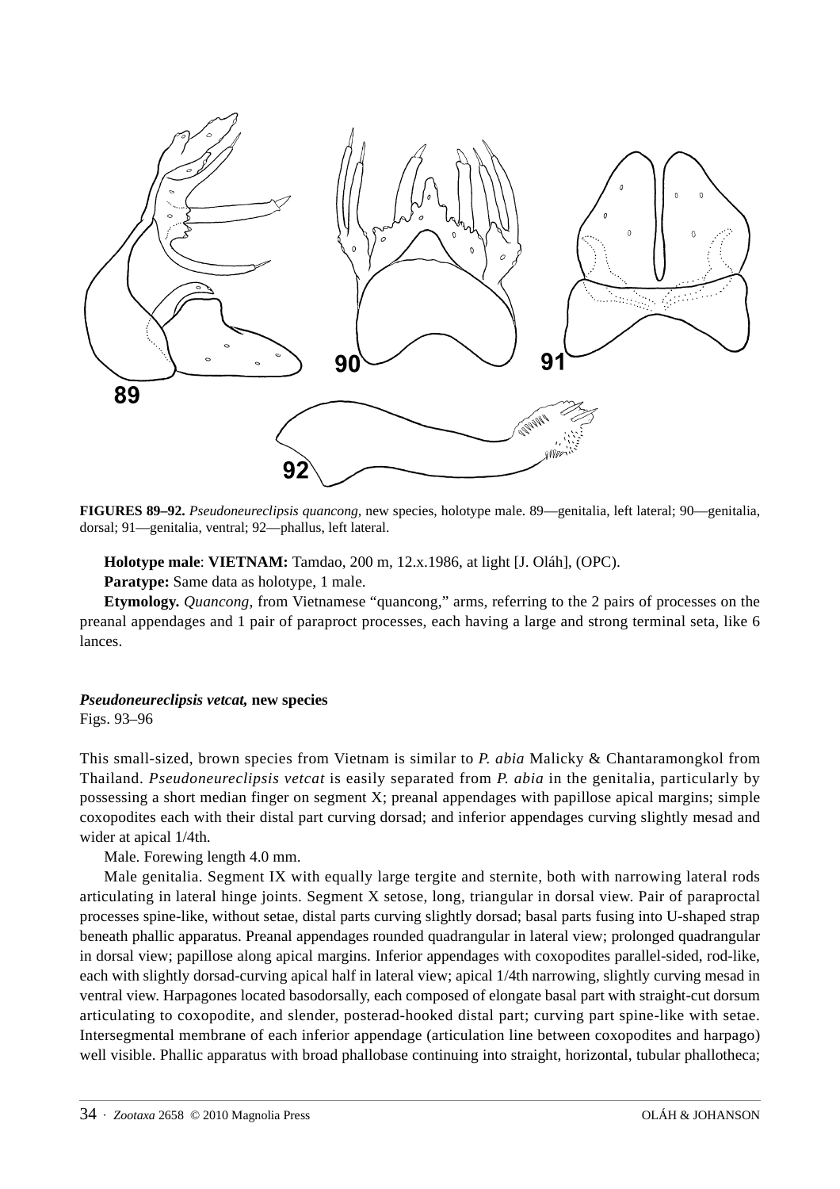

**FIGURES 89–92.** *Pseudoneureclipsis quancong,* new species, holotype male. 89—genitalia, left lateral; 90—genitalia, dorsal; 91—genitalia, ventral; 92—phallus, left lateral.

**Holotype male**: **VIETNAM:** Tamdao, 200 m, 12.x.1986, at light [J. Oláh], (OPC).

**Paratype:** Same data as holotype, 1 male.

**Etymology.** *Quancong*, from Vietnamese "quancong," arms, referring to the 2 pairs of processes on the preanal appendages and 1 pair of paraproct processes, each having a large and strong terminal seta, like 6 lances.

## *Pseudoneureclipsis vetcat,* **new species**

Figs. 93–96

This small-sized, brown species from Vietnam is similar to *P. abia* Malicky & Chantaramongkol from Thailand. *Pseudoneureclipsis vetcat* is easily separated from *P. abia* in the genitalia, particularly by possessing a short median finger on segment X; preanal appendages with papillose apical margins; simple coxopodites each with their distal part curving dorsad; and inferior appendages curving slightly mesad and wider at apical 1/4th.

Male. Forewing length 4.0 mm.

Male genitalia. Segment IX with equally large tergite and sternite, both with narrowing lateral rods articulating in lateral hinge joints. Segment X setose, long, triangular in dorsal view. Pair of paraproctal processes spine-like, without setae, distal parts curving slightly dorsad; basal parts fusing into U-shaped strap beneath phallic apparatus. Preanal appendages rounded quadrangular in lateral view; prolonged quadrangular in dorsal view; papillose along apical margins. Inferior appendages with coxopodites parallel-sided, rod-like, each with slightly dorsad-curving apical half in lateral view; apical 1/4th narrowing, slightly curving mesad in ventral view. Harpagones located basodorsally, each composed of elongate basal part with straight-cut dorsum articulating to coxopodite, and slender, posterad-hooked distal part; curving part spine-like with setae. Intersegmental membrane of each inferior appendage (articulation line between coxopodites and harpago) well visible. Phallic apparatus with broad phallobase continuing into straight, horizontal, tubular phallotheca;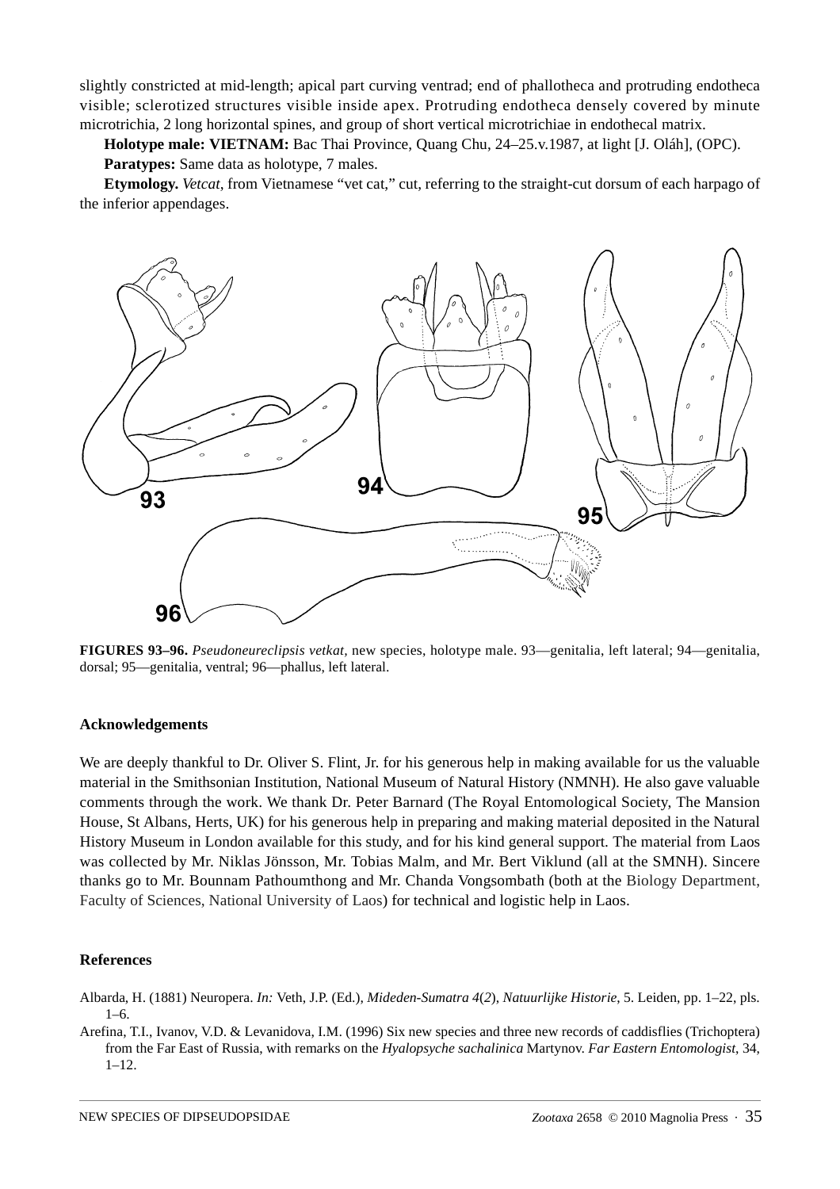slightly constricted at mid-length; apical part curving ventrad; end of phallotheca and protruding endotheca visible; sclerotized structures visible inside apex. Protruding endotheca densely covered by minute microtrichia, 2 long horizontal spines, and group of short vertical microtrichiae in endothecal matrix.

**Holotype male: VIETNAM:** Bac Thai Province, Quang Chu, 24–25.v.1987, at light [J. Oláh], (OPC). **Paratypes:** Same data as holotype, 7 males.

**Etymology.** *Vetcat*, from Vietnamese "vet cat," cut, referring to the straight-cut dorsum of each harpago of the inferior appendages.



**FIGURES 93–96.** *Pseudoneureclipsis vetkat,* new species, holotype male. 93—genitalia, left lateral; 94—genitalia, dorsal; 95—genitalia, ventral; 96—phallus, left lateral.

#### **Acknowledgements**

We are deeply thankful to Dr. Oliver S. Flint, Jr. for his generous help in making available for us the valuable material in the Smithsonian Institution, National Museum of Natural History (NMNH). He also gave valuable comments through the work. We thank Dr. Peter Barnard (The Royal Entomological Society, The Mansion House, St Albans, Herts, UK) for his generous help in preparing and making material deposited in the Natural History Museum in London available for this study, and for his kind general support. The material from Laos was collected by Mr. Niklas Jönsson, Mr. Tobias Malm, and Mr. Bert Viklund (all at the SMNH). Sincere thanks go to Mr. Bounnam Pathoumthong and Mr. Chanda Vongsombath (both at the Biology Department, Faculty of Sciences, National University of Laos) for technical and logistic help in Laos.

#### **References**

Albarda, H. (1881) Neuropera. *In:* Veth, J.P. (Ed.), *Mideden-Sumatra 4*(*2*), *Natuurlijke Historie*, 5. Leiden, pp. 1–22, pls. 1–6.

Arefina, T.I., Ivanov, V.D. & Levanidova, I.M. (1996) Six new species and three new records of caddisflies (Trichoptera) from the Far East of Russia, with remarks on the *Hyalopsyche sachalinica* Martynov. *Far Eastern Entomologist*, 34, 1–12.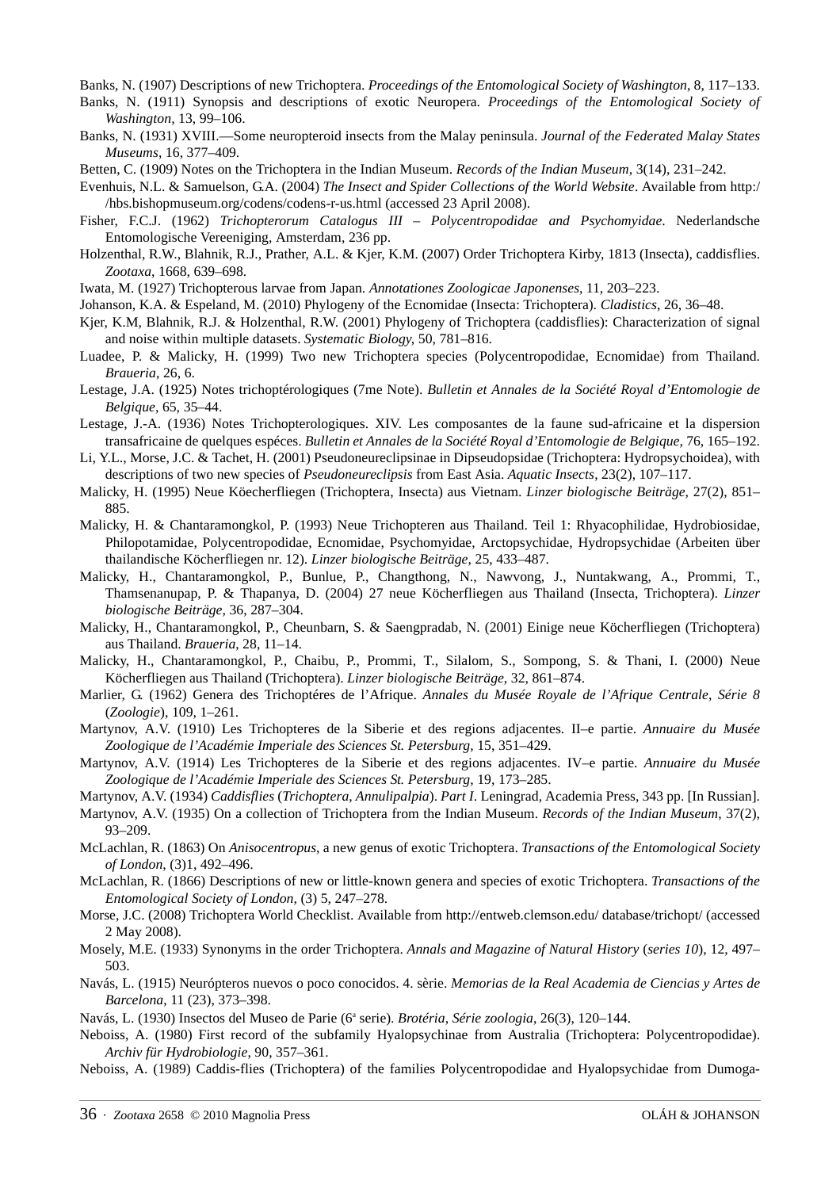Banks, N. (1907) Descriptions of new Trichoptera. *Proceedings of the Entomological Society of Washington*, 8, 117–133.

- Banks, N. (1911) Synopsis and descriptions of exotic Neuropera. *Proceedings of the Entomological Society of Washington,* 13, 99–106.
- Banks, N. (1931) XVIII.—Some neuropteroid insects from the Malay peninsula. *Journal of the Federated Malay States Museums*, 16, 377–409.

Betten, C. (1909) Notes on the Trichoptera in the Indian Museum. *Records of the Indian Museum*, 3(14), 231–242.

Evenhuis, N.L. & Samuelson, G.A. (2004) *The Insect and Spider Collections of the World Website*. Available from http:/ /hbs.bishopmuseum.org/codens/codens-r-us.html (accessed 23 April 2008).

- Fisher, F.C.J. (1962) *Trichopterorum Catalogus III Polycentropodidae and Psychomyidae*. Nederlandsche Entomologische Vereeniging, Amsterdam, 236 pp.
- Holzenthal, R.W., Blahnik, R.J., Prather, A.L. & Kjer, K.M. (2007) Order Trichoptera Kirby, 1813 (Insecta), caddisflies. *Zootaxa*, 1668, 639–698.

Iwata, M. (1927) Trichopterous larvae from Japan. *Annotationes Zoologicae Japonenses*, 11, 203–223.

- Johanson, K.A. & Espeland, M. (2010) Phylogeny of the Ecnomidae (Insecta: Trichoptera). *Cladistics*, 26, 36–48.
- Kjer, K.M, Blahnik, R.J. & Holzenthal, R.W. (2001) Phylogeny of Trichoptera (caddisflies): Characterization of signal and noise within multiple datasets. *Systematic Biology*, 50, 781–816.
- Luadee, P. & Malicky, H. (1999) Two new Trichoptera species (Polycentropodidae, Ecnomidae) from Thailand. *Braueria*, 26, 6.
- Lestage, J.A. (1925) Notes trichoptérologiques (7me Note). *Bulletin et Annales de la Société Royal d'Entomologie de Belgique,* 65, 35–44.
- Lestage, J.-A. (1936) Notes Trichopterologiques. XIV. Les composantes de la faune sud-africaine et la dispersion transafricaine de quelques espéces. *Bulletin et Annales de la Société Royal d'Entomologie de Belgique*, 76, 165–192.
- Li, Y.L., Morse, J.C. & Tachet, H. (2001) Pseudoneureclipsinae in Dipseudopsidae (Trichoptera: Hydropsychoidea), with descriptions of two new species of *Pseudoneureclipsis* from East Asia. *Aquatic Insects*, 23(2), 107–117.
- Malicky, H. (1995) Neue Köecherfliegen (Trichoptera, Insecta) aus Vietnam. *Linzer biologische Beiträge*, 27(2), 851– 885.
- Malicky, H. & Chantaramongkol, P. (1993) Neue Trichopteren aus Thailand. Teil 1: Rhyacophilidae, Hydrobiosidae, Philopotamidae, Polycentropodidae, Ecnomidae, Psychomyidae, Arctopsychidae, Hydropsychidae (Arbeiten über thailandische Köcherfliegen nr. 12). *Linzer biologische Beiträge*, 25, 433–487.
- Malicky, H., Chantaramongkol, P., Bunlue, P., Changthong, N., Nawvong, J., Nuntakwang, A., Prommi, T., Thamsenanupap, P. & Thapanya, D. (2004) 27 neue Köcherfliegen aus Thailand (Insecta, Trichoptera). *Linzer biologische Beiträge,* 36, 287–304.
- Malicky, H., Chantaramongkol, P., Cheunbarn, S. & Saengpradab, N. (2001) Einige neue Köcherfliegen (Trichoptera) aus Thailand. *Braueria*, 28, 11–14.
- Malicky, H., Chantaramongkol, P., Chaibu, P., Prommi, T., Silalom, S., Sompong, S. & Thani, I. (2000) Neue Köcherfliegen aus Thailand (Trichoptera). *Linzer biologische Beiträge*, 32, 861–874.
- Marlier, G. (1962) Genera des Trichoptéres de l'Afrique. *Annales du Musée Royale de l'Afrique Centrale*, *Série 8*  (*Zoologie*), 109, 1–261.
- Martynov, A.V. (1910) Les Trichopteres de la Siberie et des regions adjacentes. II–e partie. *Annuaire du Musée Zoologique de l'Académie Imperiale des Sciences St. Petersburg*, 15, 351–429.
- Martynov, A.V. (1914) Les Trichopteres de la Siberie et des regions adjacentes. IV–e partie. *Annuaire du Musée Zoologique de l'Académie Imperiale des Sciences St. Petersburg*, 19, 173–285.

Martynov, A.V. (1934) *Caddisflies* (*Trichoptera*, *Annulipalpia*). *Part I*. Leningrad, Academia Press, 343 pp. [In Russian].

- Martynov, A.V. (1935) On a collection of Trichoptera from the Indian Museum. *Records of the Indian Museum*, 37(2), 93–209.
- McLachlan, R. (1863) On *Anisocentropus*, a new genus of exotic Trichoptera. *Transactions of the Entomological Society of London*, (3)1, 492–496.
- McLachlan, R. (1866) Descriptions of new or little-known genera and species of exotic Trichoptera. *Transactions of the Entomological Society of London*, (3) 5, 247–278.
- [Morse, J.C. \(2008\) Trichoptera World Checklist. Available from http://entweb.clemson.edu/ database/trichopt/ \(accessed](http://entweb.clemson.edu/) 2 May 2008).
- Mosely, M.E. (1933) Synonyms in the order Trichoptera. *Annals and Magazine of Natural History* (*series 10*), 12, 497– 503.
- Navás, L. (1915) Neurópteros nuevos o poco conocidos. 4. sèrie. *Memorias de la Real Academia de Ciencias y Artes de Barcelona*, 11 (23), 373–398.
- Navás, L. (1930) Insectos del Museo de Parie (6<sup>ª</sup> serie). *Brotéria*, *Série zoologia*, 26(3), 120-144.
- Neboiss, A. (1980) First record of the subfamily Hyalopsychinae from Australia (Trichoptera: Polycentropodidae). *Archiv für Hydrobiologie*, 90, 357–361.
- Neboiss, A. (1989) Caddis-flies (Trichoptera) of the families Polycentropodidae and Hyalopsychidae from Dumoga-